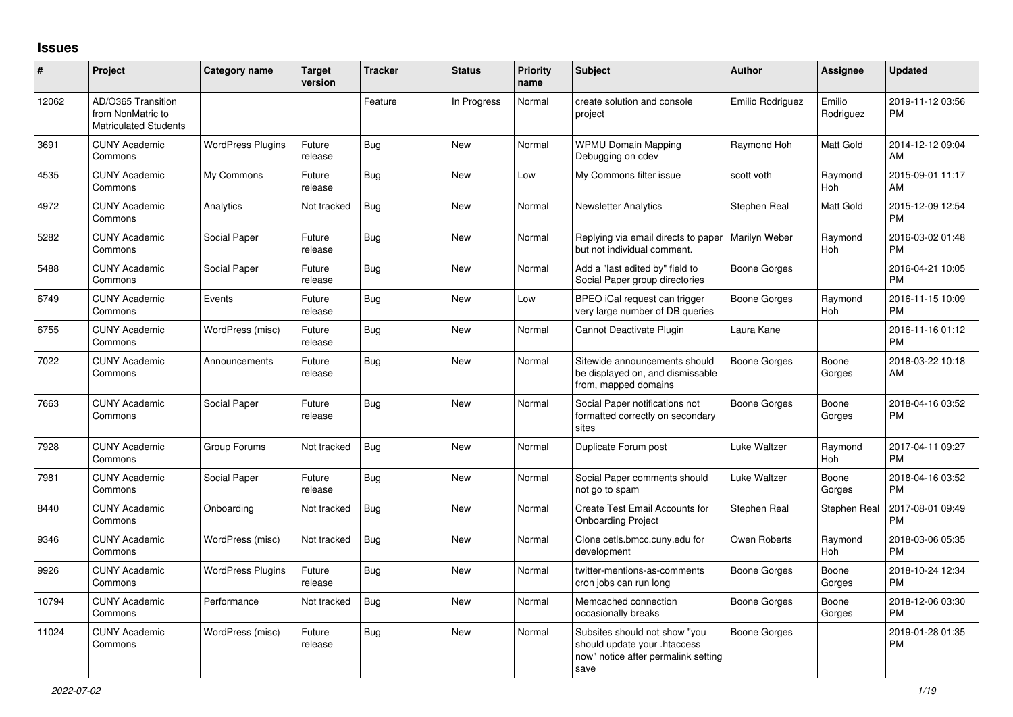## **Issues**

| #     | Project                                                                 | <b>Category name</b>     | <b>Target</b><br>version | <b>Tracker</b> | <b>Status</b> | <b>Priority</b><br>name | <b>Subject</b>                                                                                               | <b>Author</b>       | <b>Assignee</b>     | <b>Updated</b>                |
|-------|-------------------------------------------------------------------------|--------------------------|--------------------------|----------------|---------------|-------------------------|--------------------------------------------------------------------------------------------------------------|---------------------|---------------------|-------------------------------|
| 12062 | AD/O365 Transition<br>from NonMatric to<br><b>Matriculated Students</b> |                          |                          | Feature        | In Progress   | Normal                  | create solution and console<br>project                                                                       | Emilio Rodriguez    | Emilio<br>Rodriguez | 2019-11-12 03:56<br><b>PM</b> |
| 3691  | <b>CUNY Academic</b><br>Commons                                         | <b>WordPress Plugins</b> | Future<br>release        | Bug            | New           | Normal                  | <b>WPMU Domain Mapping</b><br>Debugging on cdev                                                              | Raymond Hoh         | Matt Gold           | 2014-12-12 09:04<br>AM        |
| 4535  | <b>CUNY Academic</b><br>Commons                                         | My Commons               | Future<br>release        | Bug            | <b>New</b>    | Low                     | My Commons filter issue                                                                                      | scott voth          | Raymond<br>Hoh      | 2015-09-01 11:17<br>AM        |
| 4972  | <b>CUNY Academic</b><br>Commons                                         | Analytics                | Not tracked              | Bug            | New           | Normal                  | <b>Newsletter Analytics</b>                                                                                  | Stephen Real        | Matt Gold           | 2015-12-09 12:54<br><b>PM</b> |
| 5282  | <b>CUNY Academic</b><br>Commons                                         | Social Paper             | Future<br>release        | Bug            | New           | Normal                  | Replying via email directs to paper<br>but not individual comment.                                           | Marilyn Weber       | Raymond<br>Hoh      | 2016-03-02 01:48<br><b>PM</b> |
| 5488  | <b>CUNY Academic</b><br>Commons                                         | Social Paper             | Future<br>release        | Bug            | New           | Normal                  | Add a "last edited by" field to<br>Social Paper group directories                                            | Boone Gorges        |                     | 2016-04-21 10:05<br><b>PM</b> |
| 6749  | <b>CUNY Academic</b><br>Commons                                         | Events                   | Future<br>release        | Bug            | <b>New</b>    | Low                     | BPEO iCal request can trigger<br>very large number of DB queries                                             | Boone Gorges        | Raymond<br>Hoh      | 2016-11-15 10:09<br><b>PM</b> |
| 6755  | <b>CUNY Academic</b><br>Commons                                         | WordPress (misc)         | Future<br>release        | <b>Bug</b>     | <b>New</b>    | Normal                  | Cannot Deactivate Plugin                                                                                     | Laura Kane          |                     | 2016-11-16 01:12<br><b>PM</b> |
| 7022  | <b>CUNY Academic</b><br>Commons                                         | Announcements            | Future<br>release        | Bug            | New           | Normal                  | Sitewide announcements should<br>be displayed on, and dismissable<br>from, mapped domains                    | Boone Gorges        | Boone<br>Gorges     | 2018-03-22 10:18<br>AM        |
| 7663  | <b>CUNY Academic</b><br>Commons                                         | Social Paper             | Future<br>release        | Bug            | <b>New</b>    | Normal                  | Social Paper notifications not<br>formatted correctly on secondary<br>sites                                  | <b>Boone Gorges</b> | Boone<br>Gorges     | 2018-04-16 03:52<br><b>PM</b> |
| 7928  | <b>CUNY Academic</b><br>Commons                                         | Group Forums             | Not tracked              | Bug            | New           | Normal                  | Duplicate Forum post                                                                                         | Luke Waltzer        | Raymond<br>Hoh      | 2017-04-11 09:27<br><b>PM</b> |
| 7981  | <b>CUNY Academic</b><br>Commons                                         | Social Paper             | Future<br>release        | Bug            | New           | Normal                  | Social Paper comments should<br>not go to spam                                                               | Luke Waltzer        | Boone<br>Gorges     | 2018-04-16 03:52<br><b>PM</b> |
| 8440  | <b>CUNY Academic</b><br>Commons                                         | Onboarding               | Not tracked              | Bug            | <b>New</b>    | Normal                  | <b>Create Test Email Accounts for</b><br><b>Onboarding Project</b>                                           | Stephen Real        | Stephen Real        | 2017-08-01 09:49<br><b>PM</b> |
| 9346  | <b>CUNY Academic</b><br>Commons                                         | WordPress (misc)         | Not tracked              | Bug            | <b>New</b>    | Normal                  | Clone cetls.bmcc.cuny.edu for<br>development                                                                 | Owen Roberts        | Raymond<br>Hoh      | 2018-03-06 05:35<br><b>PM</b> |
| 9926  | <b>CUNY Academic</b><br>Commons                                         | <b>WordPress Plugins</b> | Future<br>release        | Bug            | <b>New</b>    | Normal                  | twitter-mentions-as-comments<br>cron jobs can run long                                                       | Boone Gorges        | Boone<br>Gorges     | 2018-10-24 12:34<br><b>PM</b> |
| 10794 | <b>CUNY Academic</b><br>Commons                                         | Performance              | Not tracked              | <b>Bug</b>     | <b>New</b>    | Normal                  | Memcached connection<br>occasionally breaks                                                                  | Boone Gorges        | Boone<br>Gorges     | 2018-12-06 03:30<br><b>PM</b> |
| 11024 | <b>CUNY Academic</b><br>Commons                                         | WordPress (misc)         | Future<br>release        | Bug            | <b>New</b>    | Normal                  | Subsites should not show "you<br>should update your .htaccess<br>now" notice after permalink setting<br>save | Boone Gorges        |                     | 2019-01-28 01:35<br><b>PM</b> |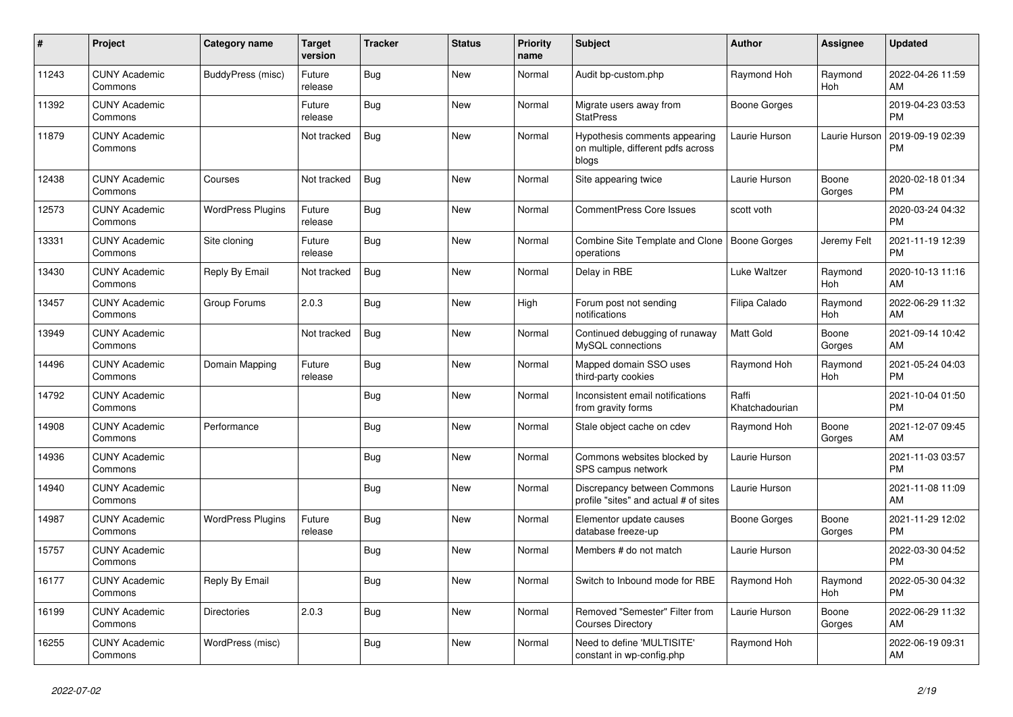| #     | Project                         | <b>Category name</b>     | <b>Target</b><br>version | <b>Tracker</b> | <b>Status</b> | <b>Priority</b><br>name | <b>Subject</b>                                                               | <b>Author</b>           | Assignee        | <b>Updated</b>                |
|-------|---------------------------------|--------------------------|--------------------------|----------------|---------------|-------------------------|------------------------------------------------------------------------------|-------------------------|-----------------|-------------------------------|
| 11243 | <b>CUNY Academic</b><br>Commons | BuddyPress (misc)        | Future<br>release        | Bug            | New           | Normal                  | Audit bp-custom.php                                                          | Raymond Hoh             | Raymond<br>Hoh  | 2022-04-26 11:59<br>AM        |
| 11392 | <b>CUNY Academic</b><br>Commons |                          | Future<br>release        | Bug            | New           | Normal                  | Migrate users away from<br><b>StatPress</b>                                  | Boone Gorges            |                 | 2019-04-23 03:53<br><b>PM</b> |
| 11879 | <b>CUNY Academic</b><br>Commons |                          | Not tracked              | Bug            | <b>New</b>    | Normal                  | Hypothesis comments appearing<br>on multiple, different pdfs across<br>blogs | Laurie Hurson           | Laurie Hurson   | 2019-09-19 02:39<br><b>PM</b> |
| 12438 | <b>CUNY Academic</b><br>Commons | Courses                  | Not tracked              | <b>Bug</b>     | <b>New</b>    | Normal                  | Site appearing twice                                                         | Laurie Hurson           | Boone<br>Gorges | 2020-02-18 01:34<br>PM.       |
| 12573 | <b>CUNY Academic</b><br>Commons | <b>WordPress Plugins</b> | Future<br>release        | Bug            | New           | Normal                  | <b>CommentPress Core Issues</b>                                              | scott voth              |                 | 2020-03-24 04:32<br><b>PM</b> |
| 13331 | <b>CUNY Academic</b><br>Commons | Site cloning             | Future<br>release        | Bug            | <b>New</b>    | Normal                  | Combine Site Template and Clone   Boone Gorges<br>operations                 |                         | Jeremy Felt     | 2021-11-19 12:39<br><b>PM</b> |
| 13430 | <b>CUNY Academic</b><br>Commons | Reply By Email           | Not tracked              | Bug            | <b>New</b>    | Normal                  | Delay in RBE                                                                 | Luke Waltzer            | Raymond<br>Hoh  | 2020-10-13 11:16<br>AM        |
| 13457 | <b>CUNY Academic</b><br>Commons | Group Forums             | 2.0.3                    | Bug            | New           | High                    | Forum post not sending<br>notifications                                      | Filipa Calado           | Raymond<br>Hoh  | 2022-06-29 11:32<br>AM        |
| 13949 | <b>CUNY Academic</b><br>Commons |                          | Not tracked              | <b>Bug</b>     | <b>New</b>    | Normal                  | Continued debugging of runaway<br>MySQL connections                          | Matt Gold               | Boone<br>Gorges | 2021-09-14 10:42<br>AM.       |
| 14496 | <b>CUNY Academic</b><br>Commons | Domain Mapping           | Future<br>release        | Bug            | <b>New</b>    | Normal                  | Mapped domain SSO uses<br>third-party cookies                                | Raymond Hoh             | Raymond<br>Hoh  | 2021-05-24 04:03<br><b>PM</b> |
| 14792 | <b>CUNY Academic</b><br>Commons |                          |                          | Bug            | New           | Normal                  | Inconsistent email notifications<br>from gravity forms                       | Raffi<br>Khatchadourian |                 | 2021-10-04 01:50<br><b>PM</b> |
| 14908 | <b>CUNY Academic</b><br>Commons | Performance              |                          | Bug            | New           | Normal                  | Stale object cache on cdev                                                   | Raymond Hoh             | Boone<br>Gorges | 2021-12-07 09:45<br>AM        |
| 14936 | <b>CUNY Academic</b><br>Commons |                          |                          | <b>Bug</b>     | New           | Normal                  | Commons websites blocked by<br>SPS campus network                            | Laurie Hurson           |                 | 2021-11-03 03:57<br><b>PM</b> |
| 14940 | <b>CUNY Academic</b><br>Commons |                          |                          | <b>Bug</b>     | <b>New</b>    | Normal                  | Discrepancy between Commons<br>profile "sites" and actual # of sites         | Laurie Hurson           |                 | 2021-11-08 11:09<br>AM        |
| 14987 | <b>CUNY Academic</b><br>Commons | <b>WordPress Plugins</b> | Future<br>release        | Bug            | New           | Normal                  | Elementor update causes<br>database freeze-up                                | Boone Gorges            | Boone<br>Gorges | 2021-11-29 12:02<br><b>PM</b> |
| 15757 | <b>CUNY Academic</b><br>Commons |                          |                          | Bug            | New           | Normal                  | Members # do not match                                                       | Laurie Hurson           |                 | 2022-03-30 04:52<br><b>PM</b> |
| 16177 | <b>CUNY Academic</b><br>Commons | Reply By Email           |                          | Bug            | <b>New</b>    | Normal                  | Switch to Inbound mode for RBE                                               | Raymond Hoh             | Raymond<br>Hoh  | 2022-05-30 04:32<br><b>PM</b> |
| 16199 | <b>CUNY Academic</b><br>Commons | <b>Directories</b>       | 2.0.3                    | <b>Bug</b>     | New           | Normal                  | Removed "Semester" Filter from<br><b>Courses Directory</b>                   | Laurie Hurson           | Boone<br>Gorges | 2022-06-29 11:32<br><b>AM</b> |
| 16255 | <b>CUNY Academic</b><br>Commons | WordPress (misc)         |                          | Bug            | <b>New</b>    | Normal                  | Need to define 'MULTISITE'<br>constant in wp-config.php                      | Raymond Hoh             |                 | 2022-06-19 09:31<br>AM        |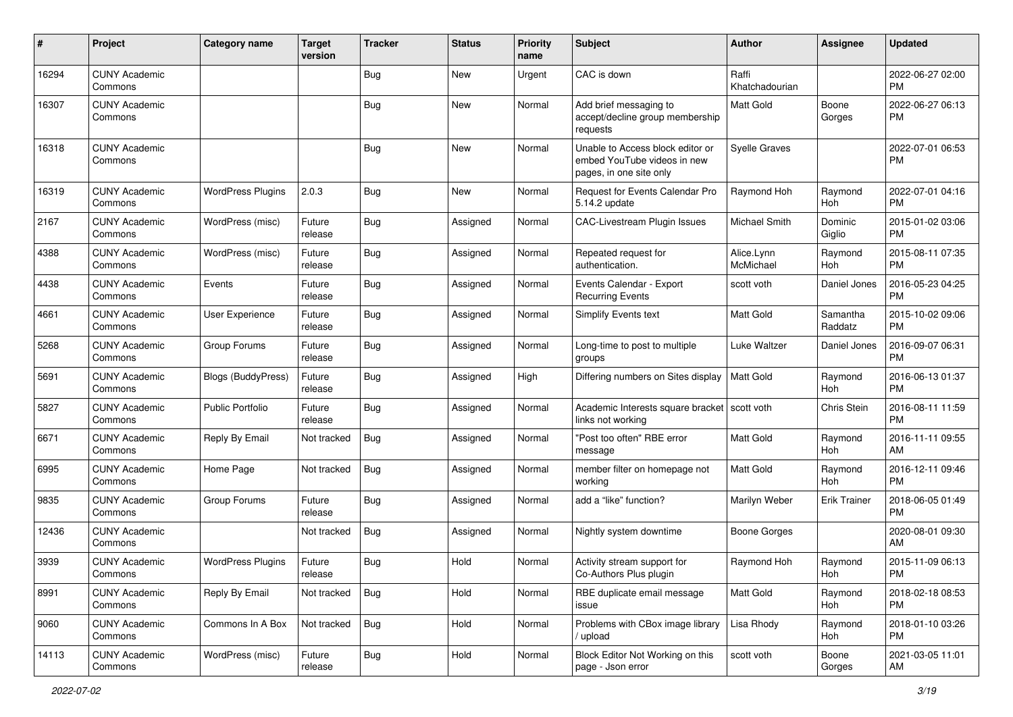| #     | Project                         | <b>Category name</b>     | <b>Target</b><br>version | <b>Tracker</b> | <b>Status</b> | <b>Priority</b><br>name | <b>Subject</b>                                                                             | Author                  | <b>Assignee</b>     | <b>Updated</b>                |
|-------|---------------------------------|--------------------------|--------------------------|----------------|---------------|-------------------------|--------------------------------------------------------------------------------------------|-------------------------|---------------------|-------------------------------|
| 16294 | <b>CUNY Academic</b><br>Commons |                          |                          | <b>Bug</b>     | <b>New</b>    | Urgent                  | CAC is down                                                                                | Raffi<br>Khatchadourian |                     | 2022-06-27 02:00<br><b>PM</b> |
| 16307 | <b>CUNY Academic</b><br>Commons |                          |                          | <b>Bug</b>     | New           | Normal                  | Add brief messaging to<br>accept/decline group membership<br>requests                      | Matt Gold               | Boone<br>Gorges     | 2022-06-27 06:13<br><b>PM</b> |
| 16318 | <b>CUNY Academic</b><br>Commons |                          |                          | Bug            | New           | Normal                  | Unable to Access block editor or<br>embed YouTube videos in new<br>pages, in one site only | <b>Syelle Graves</b>    |                     | 2022-07-01 06:53<br><b>PM</b> |
| 16319 | <b>CUNY Academic</b><br>Commons | <b>WordPress Plugins</b> | 2.0.3                    | <b>Bug</b>     | New           | Normal                  | <b>Request for Events Calendar Pro</b><br>5.14.2 update                                    | Raymond Hoh             | Raymond<br>Hoh      | 2022-07-01 04:16<br><b>PM</b> |
| 2167  | <b>CUNY Academic</b><br>Commons | WordPress (misc)         | Future<br>release        | Bug            | Assigned      | Normal                  | CAC-Livestream Plugin Issues                                                               | Michael Smith           | Dominic<br>Giglio   | 2015-01-02 03:06<br><b>PM</b> |
| 4388  | <b>CUNY Academic</b><br>Commons | WordPress (misc)         | Future<br>release        | Bug            | Assigned      | Normal                  | Repeated request for<br>authentication.                                                    | Alice.Lynn<br>McMichael | Raymond<br>Hoh      | 2015-08-11 07:35<br><b>PM</b> |
| 4438  | <b>CUNY Academic</b><br>Commons | Events                   | Future<br>release        | Bug            | Assigned      | Normal                  | Events Calendar - Export<br><b>Recurring Events</b>                                        | scott voth              | Daniel Jones        | 2016-05-23 04:25<br><b>PM</b> |
| 4661  | <b>CUNY Academic</b><br>Commons | User Experience          | Future<br>release        | Bug            | Assigned      | Normal                  | <b>Simplify Events text</b>                                                                | Matt Gold               | Samantha<br>Raddatz | 2015-10-02 09:06<br><b>PM</b> |
| 5268  | <b>CUNY Academic</b><br>Commons | Group Forums             | Future<br>release        | Bug            | Assigned      | Normal                  | Long-time to post to multiple<br>groups                                                    | Luke Waltzer            | Daniel Jones        | 2016-09-07 06:31<br><b>PM</b> |
| 5691  | <b>CUNY Academic</b><br>Commons | Blogs (BuddyPress)       | Future<br>release        | Bug            | Assigned      | High                    | Differing numbers on Sites display                                                         | Matt Gold               | Raymond<br>Hoh      | 2016-06-13 01:37<br><b>PM</b> |
| 5827  | <b>CUNY Academic</b><br>Commons | <b>Public Portfolio</b>  | Future<br>release        | Bug            | Assigned      | Normal                  | Academic Interests square bracket   scott voth<br>links not working                        |                         | Chris Stein         | 2016-08-11 11:59<br><b>PM</b> |
| 6671  | <b>CUNY Academic</b><br>Commons | Reply By Email           | Not tracked              | Bug            | Assigned      | Normal                  | "Post too often" RBE error<br>message                                                      | <b>Matt Gold</b>        | Raymond<br>Hoh      | 2016-11-11 09:55<br>AM        |
| 6995  | <b>CUNY Academic</b><br>Commons | Home Page                | Not tracked              | Bug            | Assigned      | Normal                  | member filter on homepage not<br>working                                                   | <b>Matt Gold</b>        | Raymond<br>Hoh      | 2016-12-11 09:46<br><b>PM</b> |
| 9835  | <b>CUNY Academic</b><br>Commons | Group Forums             | Future<br>release        | Bug            | Assigned      | Normal                  | add a "like" function?                                                                     | Marilyn Weber           | <b>Erik Trainer</b> | 2018-06-05 01:49<br><b>PM</b> |
| 12436 | <b>CUNY Academic</b><br>Commons |                          | Not tracked              | <b>Bug</b>     | Assigned      | Normal                  | Nightly system downtime                                                                    | <b>Boone Gorges</b>     |                     | 2020-08-01 09:30<br>AM        |
| 3939  | <b>CUNY Academic</b><br>Commons | <b>WordPress Plugins</b> | Future<br>release        | Bug            | Hold          | Normal                  | Activity stream support for<br>Co-Authors Plus plugin                                      | Raymond Hoh             | Raymond<br>Hoh      | 2015-11-09 06:13<br>PM        |
| 8991  | <b>CUNY Academic</b><br>Commons | Reply By Email           | Not tracked              | <b>Bug</b>     | Hold          | Normal                  | RBE duplicate email message<br>issue                                                       | Matt Gold               | Raymond<br>Hoh      | 2018-02-18 08:53<br><b>PM</b> |
| 9060  | <b>CUNY Academic</b><br>Commons | Commons In A Box         | Not tracked              | <b>Bug</b>     | Hold          | Normal                  | Problems with CBox image library<br>/ upload                                               | Lisa Rhody              | Raymond<br>Hoh      | 2018-01-10 03:26<br><b>PM</b> |
| 14113 | <b>CUNY Academic</b><br>Commons | WordPress (misc)         | Future<br>release        | <b>Bug</b>     | Hold          | Normal                  | Block Editor Not Working on this<br>page - Json error                                      | scott voth              | Boone<br>Gorges     | 2021-03-05 11:01<br>AM        |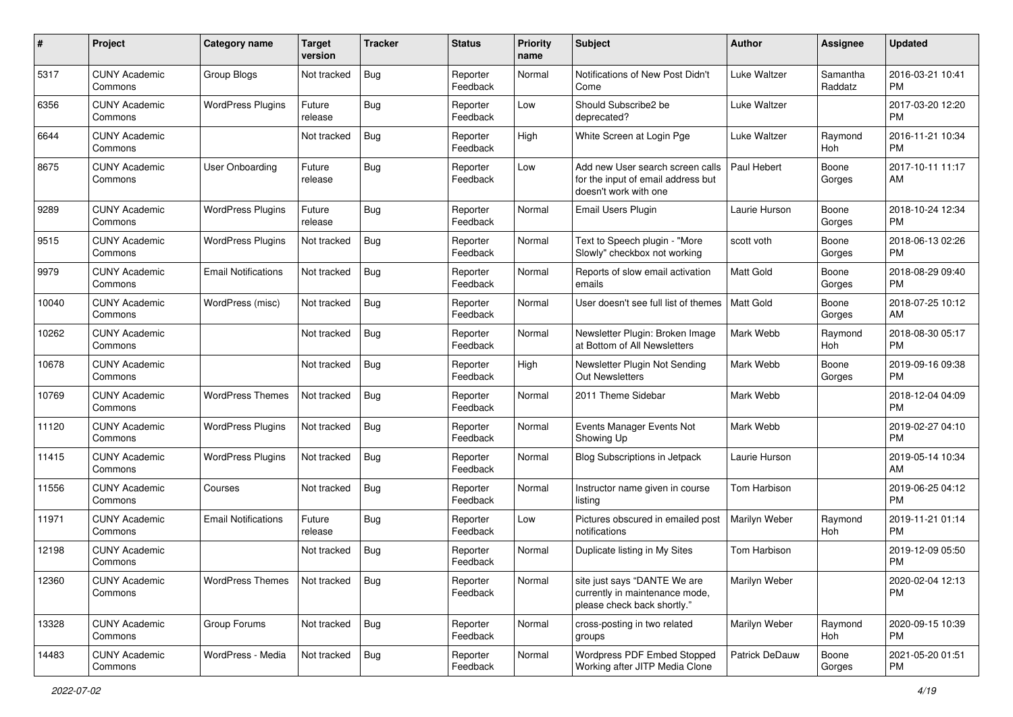| #     | Project                         | <b>Category name</b>       | <b>Target</b><br>version | <b>Tracker</b> | <b>Status</b>        | Priority<br>name | <b>Subject</b>                                                                                  | Author           | <b>Assignee</b>     | <b>Updated</b>                |
|-------|---------------------------------|----------------------------|--------------------------|----------------|----------------------|------------------|-------------------------------------------------------------------------------------------------|------------------|---------------------|-------------------------------|
| 5317  | <b>CUNY Academic</b><br>Commons | <b>Group Blogs</b>         | Not tracked              | Bug            | Reporter<br>Feedback | Normal           | Notifications of New Post Didn't<br>Come                                                        | Luke Waltzer     | Samantha<br>Raddatz | 2016-03-21 10:41<br><b>PM</b> |
| 6356  | <b>CUNY Academic</b><br>Commons | <b>WordPress Plugins</b>   | Future<br>release        | <b>Bug</b>     | Reporter<br>Feedback | Low              | Should Subscribe2 be<br>deprecated?                                                             | Luke Waltzer     |                     | 2017-03-20 12:20<br><b>PM</b> |
| 6644  | <b>CUNY Academic</b><br>Commons |                            | Not tracked              | Bug            | Reporter<br>Feedback | High             | White Screen at Login Pge                                                                       | Luke Waltzer     | Raymond<br>Hoh      | 2016-11-21 10:34<br><b>PM</b> |
| 8675  | <b>CUNY Academic</b><br>Commons | <b>User Onboarding</b>     | Future<br>release        | Bug            | Reporter<br>Feedback | Low              | Add new User search screen calls<br>for the input of email address but<br>doesn't work with one | Paul Hebert      | Boone<br>Gorges     | 2017-10-11 11:17<br>AM        |
| 9289  | <b>CUNY Academic</b><br>Commons | <b>WordPress Plugins</b>   | Future<br>release        | Bug            | Reporter<br>Feedback | Normal           | Email Users Plugin                                                                              | Laurie Hurson    | Boone<br>Gorges     | 2018-10-24 12:34<br><b>PM</b> |
| 9515  | <b>CUNY Academic</b><br>Commons | <b>WordPress Plugins</b>   | Not tracked              | Bug            | Reporter<br>Feedback | Normal           | Text to Speech plugin - "More<br>Slowly" checkbox not working                                   | scott voth       | Boone<br>Gorges     | 2018-06-13 02:26<br><b>PM</b> |
| 9979  | <b>CUNY Academic</b><br>Commons | <b>Email Notifications</b> | Not tracked              | Bug            | Reporter<br>Feedback | Normal           | Reports of slow email activation<br>emails                                                      | <b>Matt Gold</b> | Boone<br>Gorges     | 2018-08-29 09:40<br><b>PM</b> |
| 10040 | <b>CUNY Academic</b><br>Commons | WordPress (misc)           | Not tracked              | Bug            | Reporter<br>Feedback | Normal           | User doesn't see full list of themes                                                            | <b>Matt Gold</b> | Boone<br>Gorges     | 2018-07-25 10:12<br>AM        |
| 10262 | <b>CUNY Academic</b><br>Commons |                            | Not tracked              | Bug            | Reporter<br>Feedback | Normal           | Newsletter Plugin: Broken Image<br>at Bottom of All Newsletters                                 | Mark Webb        | Raymond<br>Hoh      | 2018-08-30 05:17<br><b>PM</b> |
| 10678 | <b>CUNY Academic</b><br>Commons |                            | Not tracked              | Bug            | Reporter<br>Feedback | High             | Newsletter Plugin Not Sending<br><b>Out Newsletters</b>                                         | Mark Webb        | Boone<br>Gorges     | 2019-09-16 09:38<br><b>PM</b> |
| 10769 | <b>CUNY Academic</b><br>Commons | <b>WordPress Themes</b>    | Not tracked              | Bug            | Reporter<br>Feedback | Normal           | 2011 Theme Sidebar                                                                              | Mark Webb        |                     | 2018-12-04 04:09<br><b>PM</b> |
| 11120 | <b>CUNY Academic</b><br>Commons | <b>WordPress Plugins</b>   | Not tracked              | Bug            | Reporter<br>Feedback | Normal           | Events Manager Events Not<br>Showing Up                                                         | Mark Webb        |                     | 2019-02-27 04:10<br><b>PM</b> |
| 11415 | <b>CUNY Academic</b><br>Commons | <b>WordPress Plugins</b>   | Not tracked              | Bug            | Reporter<br>Feedback | Normal           | Blog Subscriptions in Jetpack                                                                   | Laurie Hurson    |                     | 2019-05-14 10:34<br>AM        |
| 11556 | <b>CUNY Academic</b><br>Commons | Courses                    | Not tracked              | <b>Bug</b>     | Reporter<br>Feedback | Normal           | Instructor name given in course<br>listing                                                      | Tom Harbison     |                     | 2019-06-25 04:12<br><b>PM</b> |
| 11971 | <b>CUNY Academic</b><br>Commons | <b>Email Notifications</b> | Future<br>release        | <b>Bug</b>     | Reporter<br>Feedback | Low              | Pictures obscured in emailed post<br>notifications                                              | Marilyn Weber    | Raymond<br>Hoh      | 2019-11-21 01:14<br><b>PM</b> |
| 12198 | <b>CUNY Academic</b><br>Commons |                            | Not tracked              | Bug            | Reporter<br>Feedback | Normal           | Duplicate listing in My Sites                                                                   | Tom Harbison     |                     | 2019-12-09 05:50<br><b>PM</b> |
| 12360 | <b>CUNY Academic</b><br>Commons | <b>WordPress Themes</b>    | Not tracked              | Bug            | Reporter<br>Feedback | Normal           | site just says "DANTE We are<br>currently in maintenance mode,<br>please check back shortly."   | Marilyn Weber    |                     | 2020-02-04 12:13<br><b>PM</b> |
| 13328 | <b>CUNY Academic</b><br>Commons | Group Forums               | Not tracked              | <b>Bug</b>     | Reporter<br>Feedback | Normal           | cross-posting in two related<br>groups                                                          | Marilyn Weber    | Raymond<br>Hoh      | 2020-09-15 10:39<br><b>PM</b> |
| 14483 | <b>CUNY Academic</b><br>Commons | WordPress - Media          | Not tracked              | Bug            | Reporter<br>Feedback | Normal           | Wordpress PDF Embed Stopped<br>Working after JITP Media Clone                                   | Patrick DeDauw   | Boone<br>Gorges     | 2021-05-20 01:51<br><b>PM</b> |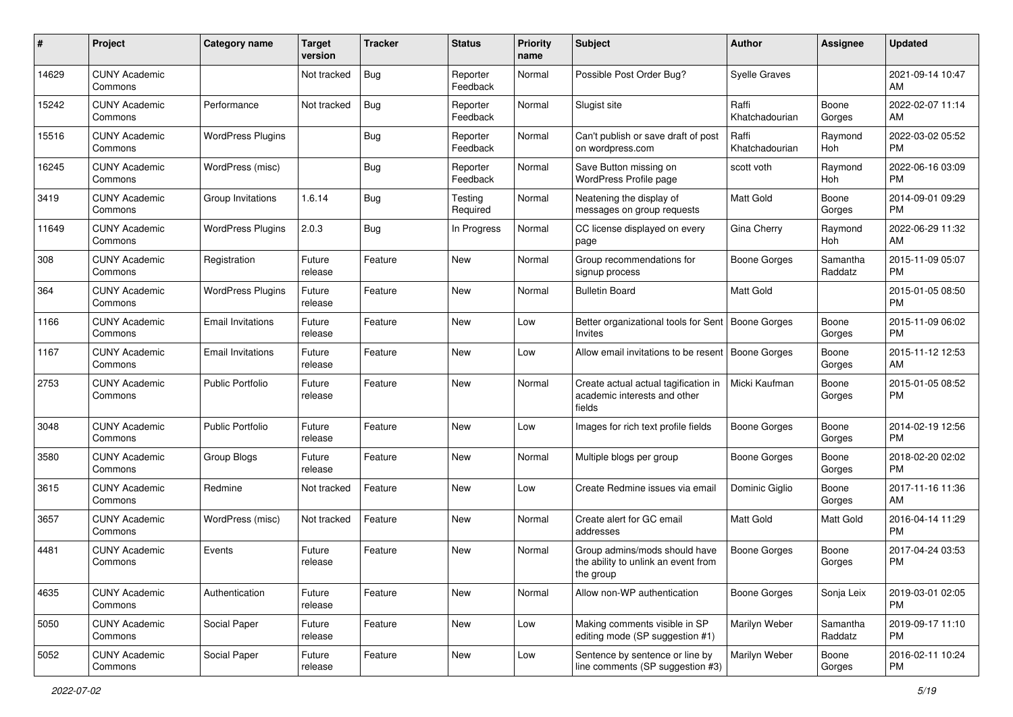| #     | Project                         | <b>Category name</b>     | <b>Target</b><br>version | <b>Tracker</b> | <b>Status</b>        | Priority<br>name | <b>Subject</b>                                                                    | <b>Author</b>           | <b>Assignee</b>     | <b>Updated</b>                |
|-------|---------------------------------|--------------------------|--------------------------|----------------|----------------------|------------------|-----------------------------------------------------------------------------------|-------------------------|---------------------|-------------------------------|
| 14629 | <b>CUNY Academic</b><br>Commons |                          | Not tracked              | Bug            | Reporter<br>Feedback | Normal           | Possible Post Order Bug?                                                          | <b>Syelle Graves</b>    |                     | 2021-09-14 10:47<br>AM.       |
| 15242 | <b>CUNY Academic</b><br>Commons | Performance              | Not tracked              | <b>Bug</b>     | Reporter<br>Feedback | Normal           | Slugist site                                                                      | Raffi<br>Khatchadourian | Boone<br>Gorges     | 2022-02-07 11:14<br>AM        |
| 15516 | <b>CUNY Academic</b><br>Commons | <b>WordPress Plugins</b> |                          | Bug            | Reporter<br>Feedback | Normal           | Can't publish or save draft of post<br>on wordpress.com                           | Raffi<br>Khatchadourian | Raymond<br>Hoh      | 2022-03-02 05:52<br><b>PM</b> |
| 16245 | <b>CUNY Academic</b><br>Commons | WordPress (misc)         |                          | Bug            | Reporter<br>Feedback | Normal           | Save Button missing on<br>WordPress Profile page                                  | scott voth              | Raymond<br>Hoh      | 2022-06-16 03:09<br>PM.       |
| 3419  | <b>CUNY Academic</b><br>Commons | Group Invitations        | 1.6.14                   | Bug            | Testing<br>Required  | Normal           | Neatening the display of<br>messages on group requests                            | <b>Matt Gold</b>        | Boone<br>Gorges     | 2014-09-01 09:29<br>PM.       |
| 11649 | <b>CUNY Academic</b><br>Commons | <b>WordPress Plugins</b> | 2.0.3                    | Bug            | In Progress          | Normal           | CC license displayed on every<br>page                                             | Gina Cherry             | Raymond<br>Hoh      | 2022-06-29 11:32<br>AM        |
| 308   | <b>CUNY Academic</b><br>Commons | Registration             | Future<br>release        | Feature        | New                  | Normal           | Group recommendations for<br>signup process                                       | Boone Gorges            | Samantha<br>Raddatz | 2015-11-09 05:07<br><b>PM</b> |
| 364   | <b>CUNY Academic</b><br>Commons | <b>WordPress Plugins</b> | Future<br>release        | Feature        | New                  | Normal           | <b>Bulletin Board</b>                                                             | <b>Matt Gold</b>        |                     | 2015-01-05 08:50<br>PM.       |
| 1166  | <b>CUNY Academic</b><br>Commons | <b>Email Invitations</b> | Future<br>release        | Feature        | New                  | Low              | Better organizational tools for Sent<br>Invites                                   | Boone Gorges            | Boone<br>Gorges     | 2015-11-09 06:02<br><b>PM</b> |
| 1167  | <b>CUNY Academic</b><br>Commons | <b>Email Invitations</b> | Future<br>release        | Feature        | New                  | Low              | Allow email invitations to be resent                                              | Boone Gorges            | Boone<br>Gorges     | 2015-11-12 12:53<br>AM        |
| 2753  | <b>CUNY Academic</b><br>Commons | Public Portfolio         | Future<br>release        | Feature        | <b>New</b>           | Normal           | Create actual actual tagification in<br>academic interests and other<br>fields    | Micki Kaufman           | Boone<br>Gorges     | 2015-01-05 08:52<br><b>PM</b> |
| 3048  | <b>CUNY Academic</b><br>Commons | <b>Public Portfolio</b>  | Future<br>release        | Feature        | New                  | Low              | Images for rich text profile fields                                               | Boone Gorges            | Boone<br>Gorges     | 2014-02-19 12:56<br><b>PM</b> |
| 3580  | <b>CUNY Academic</b><br>Commons | Group Blogs              | Future<br>release        | Feature        | <b>New</b>           | Normal           | Multiple blogs per group                                                          | Boone Gorges            | Boone<br>Gorges     | 2018-02-20 02:02<br>PM.       |
| 3615  | <b>CUNY Academic</b><br>Commons | Redmine                  | Not tracked              | Feature        | New                  | Low              | Create Redmine issues via email                                                   | Dominic Giglio          | Boone<br>Gorges     | 2017-11-16 11:36<br>AM        |
| 3657  | <b>CUNY Academic</b><br>Commons | WordPress (misc)         | Not tracked              | Feature        | New                  | Normal           | Create alert for GC email<br>addresses                                            | Matt Gold               | Matt Gold           | 2016-04-14 11:29<br><b>PM</b> |
| 4481  | <b>CUNY Academic</b><br>Commons | Events                   | Future<br>release        | Feature        | New                  | Normal           | Group admins/mods should have<br>the ability to unlink an event from<br>the group | Boone Gorges            | Boone<br>Gorges     | 2017-04-24 03:53<br><b>PM</b> |
| 4635  | <b>CUNY Academic</b><br>Commons | Authentication           | Future<br>release        | Feature        | New                  | Normal           | Allow non-WP authentication                                                       | Boone Gorges            | Sonja Leix          | 2019-03-01 02:05<br>PM        |
| 5050  | <b>CUNY Academic</b><br>Commons | Social Paper             | Future<br>release        | Feature        | New                  | Low              | Making comments visible in SP<br>editing mode (SP suggestion #1)                  | Marilyn Weber           | Samantha<br>Raddatz | 2019-09-17 11:10<br>PM.       |
| 5052  | <b>CUNY Academic</b><br>Commons | Social Paper             | Future<br>release        | Feature        | New                  | Low              | Sentence by sentence or line by<br>line comments (SP suggestion #3)               | Marilyn Weber           | Boone<br>Gorges     | 2016-02-11 10:24<br><b>PM</b> |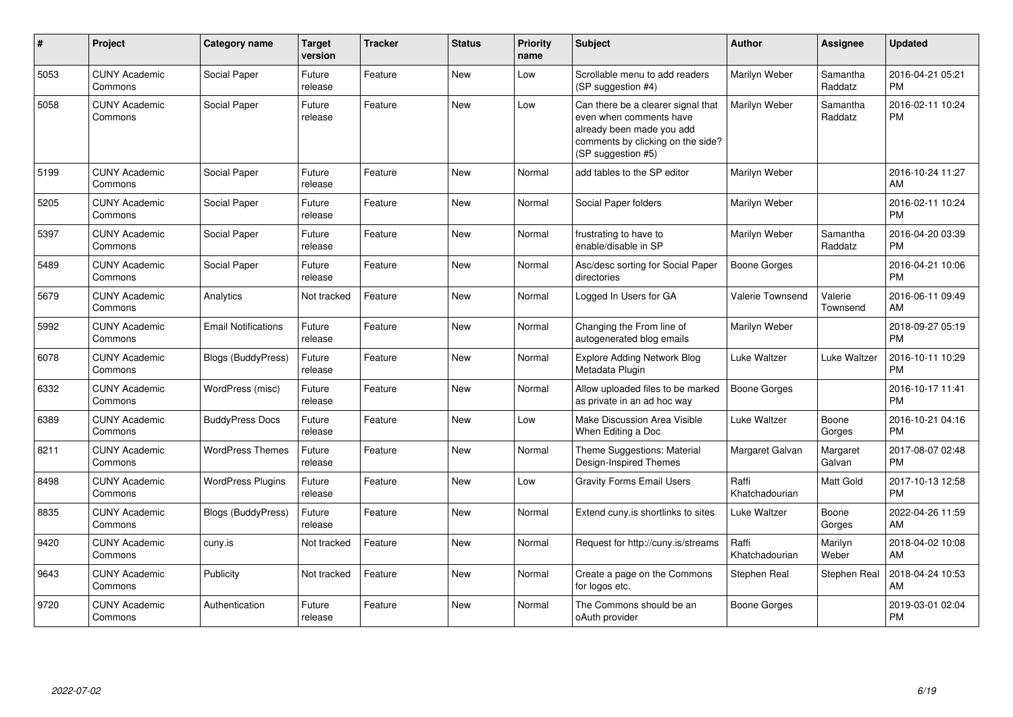| #    | Project                         | Category name              | <b>Target</b><br>version | <b>Tracker</b> | <b>Status</b> | <b>Priority</b><br>name | <b>Subject</b>                                                                                                                                        | <b>Author</b>           | <b>Assignee</b>     | <b>Updated</b>                |
|------|---------------------------------|----------------------------|--------------------------|----------------|---------------|-------------------------|-------------------------------------------------------------------------------------------------------------------------------------------------------|-------------------------|---------------------|-------------------------------|
| 5053 | <b>CUNY Academic</b><br>Commons | Social Paper               | Future<br>release        | Feature        | <b>New</b>    | Low                     | Scrollable menu to add readers<br>(SP suggestion #4)                                                                                                  | Marilyn Weber           | Samantha<br>Raddatz | 2016-04-21 05:21<br><b>PM</b> |
| 5058 | <b>CUNY Academic</b><br>Commons | Social Paper               | Future<br>release        | Feature        | <b>New</b>    | Low                     | Can there be a clearer signal that<br>even when comments have<br>already been made you add<br>comments by clicking on the side?<br>(SP suggestion #5) | Marilyn Weber           | Samantha<br>Raddatz | 2016-02-11 10:24<br><b>PM</b> |
| 5199 | <b>CUNY Academic</b><br>Commons | Social Paper               | Future<br>release        | Feature        | <b>New</b>    | Normal                  | add tables to the SP editor                                                                                                                           | Marilyn Weber           |                     | 2016-10-24 11:27<br>AM        |
| 5205 | <b>CUNY Academic</b><br>Commons | Social Paper               | Future<br>release        | Feature        | <b>New</b>    | Normal                  | Social Paper folders                                                                                                                                  | Marilyn Weber           |                     | 2016-02-11 10:24<br><b>PM</b> |
| 5397 | <b>CUNY Academic</b><br>Commons | Social Paper               | Future<br>release        | Feature        | <b>New</b>    | Normal                  | frustrating to have to<br>enable/disable in SP                                                                                                        | Marilyn Weber           | Samantha<br>Raddatz | 2016-04-20 03:39<br><b>PM</b> |
| 5489 | <b>CUNY Academic</b><br>Commons | Social Paper               | Future<br>release        | Feature        | <b>New</b>    | Normal                  | Asc/desc sorting for Social Paper<br>directories                                                                                                      | <b>Boone Gorges</b>     |                     | 2016-04-21 10:06<br><b>PM</b> |
| 5679 | <b>CUNY Academic</b><br>Commons | Analytics                  | Not tracked              | Feature        | <b>New</b>    | Normal                  | Logged In Users for GA                                                                                                                                | Valerie Townsend        | Valerie<br>Townsend | 2016-06-11 09:49<br>AM        |
| 5992 | <b>CUNY Academic</b><br>Commons | <b>Email Notifications</b> | Future<br>release        | Feature        | <b>New</b>    | Normal                  | Changing the From line of<br>autogenerated blog emails                                                                                                | Marilyn Weber           |                     | 2018-09-27 05:19<br><b>PM</b> |
| 6078 | <b>CUNY Academic</b><br>Commons | <b>Blogs (BuddyPress)</b>  | Future<br>release        | Feature        | <b>New</b>    | Normal                  | <b>Explore Adding Network Blog</b><br>Metadata Plugin                                                                                                 | Luke Waltzer            | Luke Waltzer        | 2016-10-11 10:29<br><b>PM</b> |
| 6332 | <b>CUNY Academic</b><br>Commons | WordPress (misc)           | Future<br>release        | Feature        | <b>New</b>    | Normal                  | Allow uploaded files to be marked<br>as private in an ad hoc way                                                                                      | <b>Boone Gorges</b>     |                     | 2016-10-17 11:41<br><b>PM</b> |
| 6389 | <b>CUNY Academic</b><br>Commons | <b>BuddyPress Docs</b>     | Future<br>release        | Feature        | <b>New</b>    | Low                     | Make Discussion Area Visible<br>When Editing a Doc                                                                                                    | Luke Waltzer            | Boone<br>Gorges     | 2016-10-21 04:16<br><b>PM</b> |
| 8211 | <b>CUNY Academic</b><br>Commons | <b>WordPress Themes</b>    | Future<br>release        | Feature        | <b>New</b>    | Normal                  | Theme Suggestions: Material<br>Design-Inspired Themes                                                                                                 | Margaret Galvan         | Margaret<br>Galvan  | 2017-08-07 02:48<br><b>PM</b> |
| 8498 | <b>CUNY Academic</b><br>Commons | <b>WordPress Plugins</b>   | Future<br>release        | Feature        | <b>New</b>    | Low                     | <b>Gravity Forms Email Users</b>                                                                                                                      | Raffi<br>Khatchadourian | Matt Gold           | 2017-10-13 12:58<br><b>PM</b> |
| 8835 | <b>CUNY Academic</b><br>Commons | <b>Blogs (BuddyPress)</b>  | Future<br>release        | Feature        | <b>New</b>    | Normal                  | Extend cuny is shortlinks to sites                                                                                                                    | Luke Waltzer            | Boone<br>Gorges     | 2022-04-26 11:59<br>AM        |
| 9420 | <b>CUNY Academic</b><br>Commons | cuny.is                    | Not tracked              | Feature        | <b>New</b>    | Normal                  | Request for http://cuny.is/streams                                                                                                                    | Raffi<br>Khatchadourian | Marilyn<br>Weber    | 2018-04-02 10:08<br>AM        |
| 9643 | <b>CUNY Academic</b><br>Commons | Publicity                  | Not tracked              | Feature        | <b>New</b>    | Normal                  | Create a page on the Commons<br>for logos etc.                                                                                                        | Stephen Real            | Stephen Real        | 2018-04-24 10:53<br>AM        |
| 9720 | <b>CUNY Academic</b><br>Commons | Authentication             | Future<br>release        | Feature        | <b>New</b>    | Normal                  | The Commons should be an<br>oAuth provider                                                                                                            | Boone Gorges            |                     | 2019-03-01 02:04<br><b>PM</b> |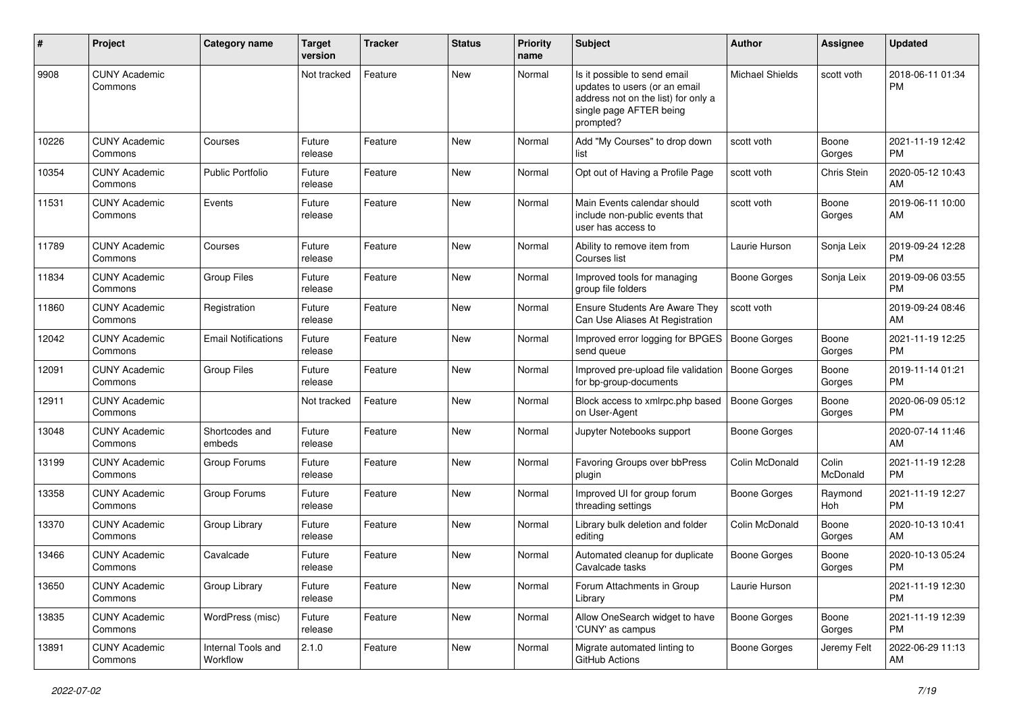| #     | Project                         | Category name                  | <b>Target</b><br>version | <b>Tracker</b> | <b>Status</b> | <b>Priority</b><br>name | Subject                                                                                                                                      | Author                 | Assignee          | <b>Updated</b>                |
|-------|---------------------------------|--------------------------------|--------------------------|----------------|---------------|-------------------------|----------------------------------------------------------------------------------------------------------------------------------------------|------------------------|-------------------|-------------------------------|
| 9908  | <b>CUNY Academic</b><br>Commons |                                | Not tracked              | Feature        | <b>New</b>    | Normal                  | Is it possible to send email<br>updates to users (or an email<br>address not on the list) for only a<br>single page AFTER being<br>prompted? | <b>Michael Shields</b> | scott voth        | 2018-06-11 01:34<br><b>PM</b> |
| 10226 | <b>CUNY Academic</b><br>Commons | Courses                        | Future<br>release        | Feature        | New           | Normal                  | Add "My Courses" to drop down<br>list                                                                                                        | scott voth             | Boone<br>Gorges   | 2021-11-19 12:42<br><b>PM</b> |
| 10354 | <b>CUNY Academic</b><br>Commons | <b>Public Portfolio</b>        | Future<br>release        | Feature        | <b>New</b>    | Normal                  | Opt out of Having a Profile Page                                                                                                             | scott voth             | Chris Stein       | 2020-05-12 10:43<br>AM        |
| 11531 | <b>CUNY Academic</b><br>Commons | Events                         | Future<br>release        | Feature        | <b>New</b>    | Normal                  | Main Events calendar should<br>include non-public events that<br>user has access to                                                          | scott voth             | Boone<br>Gorges   | 2019-06-11 10:00<br>AM.       |
| 11789 | <b>CUNY Academic</b><br>Commons | Courses                        | Future<br>release        | Feature        | New           | Normal                  | Ability to remove item from<br>Courses list                                                                                                  | Laurie Hurson          | Sonja Leix        | 2019-09-24 12:28<br><b>PM</b> |
| 11834 | <b>CUNY Academic</b><br>Commons | Group Files                    | Future<br>release        | Feature        | New           | Normal                  | Improved tools for managing<br>group file folders                                                                                            | <b>Boone Gorges</b>    | Sonja Leix        | 2019-09-06 03:55<br><b>PM</b> |
| 11860 | <b>CUNY Academic</b><br>Commons | Registration                   | Future<br>release        | Feature        | New           | Normal                  | Ensure Students Are Aware They<br>Can Use Aliases At Registration                                                                            | scott voth             |                   | 2019-09-24 08:46<br>AM        |
| 12042 | <b>CUNY Academic</b><br>Commons | <b>Email Notifications</b>     | Future<br>release        | Feature        | <b>New</b>    | Normal                  | Improved error logging for BPGES<br>send queue                                                                                               | <b>Boone Gorges</b>    | Boone<br>Gorges   | 2021-11-19 12:25<br><b>PM</b> |
| 12091 | <b>CUNY Academic</b><br>Commons | <b>Group Files</b>             | Future<br>release        | Feature        | <b>New</b>    | Normal                  | Improved pre-upload file validation<br>for bp-group-documents                                                                                | <b>Boone Gorges</b>    | Boone<br>Gorges   | 2019-11-14 01:21<br><b>PM</b> |
| 12911 | <b>CUNY Academic</b><br>Commons |                                | Not tracked              | Feature        | New           | Normal                  | Block access to xmlrpc.php based<br>on User-Agent                                                                                            | <b>Boone Gorges</b>    | Boone<br>Gorges   | 2020-06-09 05:12<br><b>PM</b> |
| 13048 | <b>CUNY Academic</b><br>Commons | Shortcodes and<br>embeds       | Future<br>release        | Feature        | New           | Normal                  | Jupyter Notebooks support                                                                                                                    | <b>Boone Gorges</b>    |                   | 2020-07-14 11:46<br>AM        |
| 13199 | <b>CUNY Academic</b><br>Commons | Group Forums                   | Future<br>release        | Feature        | <b>New</b>    | Normal                  | Favoring Groups over bbPress<br>plugin                                                                                                       | Colin McDonald         | Colin<br>McDonald | 2021-11-19 12:28<br><b>PM</b> |
| 13358 | <b>CUNY Academic</b><br>Commons | Group Forums                   | Future<br>release        | Feature        | <b>New</b>    | Normal                  | Improved UI for group forum<br>threading settings                                                                                            | <b>Boone Gorges</b>    | Raymond<br>Hoh    | 2021-11-19 12:27<br><b>PM</b> |
| 13370 | <b>CUNY Academic</b><br>Commons | Group Library                  | Future<br>release        | Feature        | New           | Normal                  | Library bulk deletion and folder<br>editing                                                                                                  | Colin McDonald         | Boone<br>Gorges   | 2020-10-13 10:41<br>AM        |
| 13466 | <b>CUNY Academic</b><br>Commons | Cavalcade                      | Future<br>release        | Feature        | <b>New</b>    | Normal                  | Automated cleanup for duplicate<br>Cavalcade tasks                                                                                           | <b>Boone Gorges</b>    | Boone<br>Gorges   | 2020-10-13 05:24<br><b>PM</b> |
| 13650 | <b>CUNY Academic</b><br>Commons | Group Library                  | Future<br>release        | Feature        | New           | Normal                  | Forum Attachments in Group<br>Library                                                                                                        | Laurie Hurson          |                   | 2021-11-19 12:30<br><b>PM</b> |
| 13835 | <b>CUNY Academic</b><br>Commons | WordPress (misc)               | Future<br>release        | Feature        | New           | Normal                  | Allow OneSearch widget to have<br>'CUNY' as campus                                                                                           | <b>Boone Gorges</b>    | Boone<br>Gorges   | 2021-11-19 12:39<br><b>PM</b> |
| 13891 | <b>CUNY Academic</b><br>Commons | Internal Tools and<br>Workflow | 2.1.0                    | Feature        | New           | Normal                  | Migrate automated linting to<br>GitHub Actions                                                                                               | <b>Boone Gorges</b>    | Jeremy Felt       | 2022-06-29 11:13<br>AM        |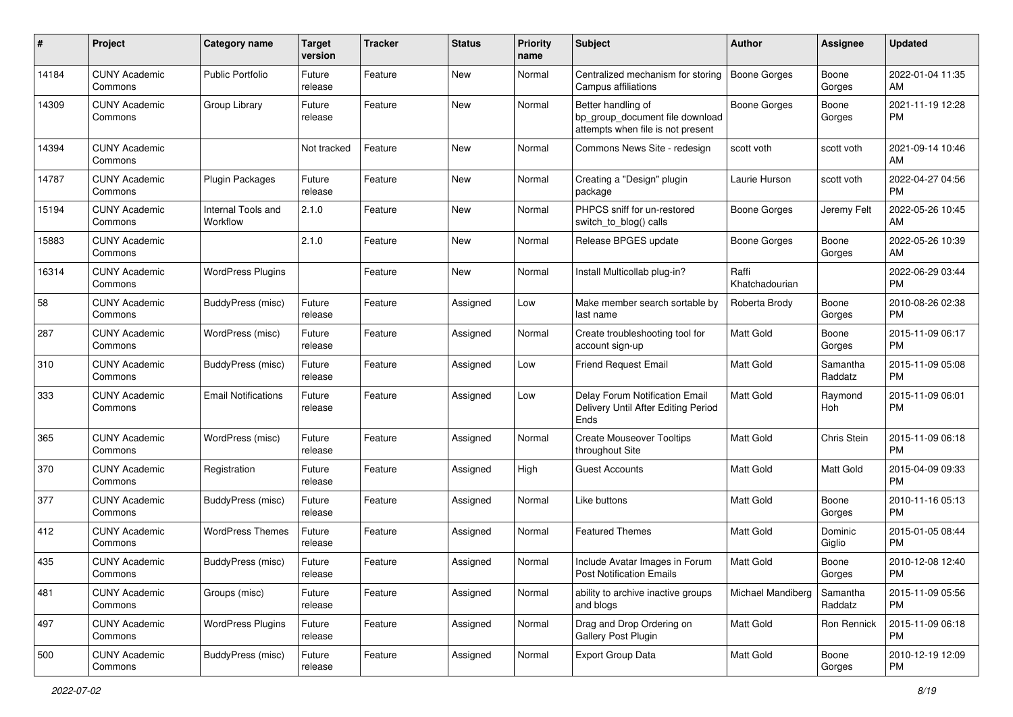| #     | Project                         | <b>Category name</b>           | <b>Target</b><br>version | <b>Tracker</b> | <b>Status</b> | <b>Priority</b><br>name | Subject                                                                                    | Author                  | <b>Assignee</b>     | <b>Updated</b>                |
|-------|---------------------------------|--------------------------------|--------------------------|----------------|---------------|-------------------------|--------------------------------------------------------------------------------------------|-------------------------|---------------------|-------------------------------|
| 14184 | <b>CUNY Academic</b><br>Commons | <b>Public Portfolio</b>        | Future<br>release        | Feature        | <b>New</b>    | Normal                  | Centralized mechanism for storing<br>Campus affiliations                                   | <b>Boone Gorges</b>     | Boone<br>Gorges     | 2022-01-04 11:35<br>AM        |
| 14309 | <b>CUNY Academic</b><br>Commons | Group Library                  | Future<br>release        | Feature        | New           | Normal                  | Better handling of<br>bp_group_document file download<br>attempts when file is not present | <b>Boone Gorges</b>     | Boone<br>Gorges     | 2021-11-19 12:28<br><b>PM</b> |
| 14394 | <b>CUNY Academic</b><br>Commons |                                | Not tracked              | Feature        | New           | Normal                  | Commons News Site - redesign                                                               | scott voth              | scott voth          | 2021-09-14 10:46<br>AM        |
| 14787 | <b>CUNY Academic</b><br>Commons | <b>Plugin Packages</b>         | Future<br>release        | Feature        | New           | Normal                  | Creating a "Design" plugin<br>package                                                      | Laurie Hurson           | scott voth          | 2022-04-27 04:56<br><b>PM</b> |
| 15194 | <b>CUNY Academic</b><br>Commons | Internal Tools and<br>Workflow | 2.1.0                    | Feature        | <b>New</b>    | Normal                  | PHPCS sniff for un-restored<br>switch_to_blog() calls                                      | Boone Gorges            | Jeremy Felt         | 2022-05-26 10:45<br>AM        |
| 15883 | <b>CUNY Academic</b><br>Commons |                                | 2.1.0                    | Feature        | <b>New</b>    | Normal                  | Release BPGES update                                                                       | Boone Gorges            | Boone<br>Gorges     | 2022-05-26 10:39<br>AM        |
| 16314 | <b>CUNY Academic</b><br>Commons | <b>WordPress Plugins</b>       |                          | Feature        | New           | Normal                  | Install Multicollab plug-in?                                                               | Raffi<br>Khatchadourian |                     | 2022-06-29 03:44<br><b>PM</b> |
| 58    | <b>CUNY Academic</b><br>Commons | BuddyPress (misc)              | Future<br>release        | Feature        | Assigned      | Low                     | Make member search sortable by<br>last name                                                | Roberta Brody           | Boone<br>Gorges     | 2010-08-26 02:38<br><b>PM</b> |
| 287   | <b>CUNY Academic</b><br>Commons | WordPress (misc)               | Future<br>release        | Feature        | Assigned      | Normal                  | Create troubleshooting tool for<br>account sign-up                                         | <b>Matt Gold</b>        | Boone<br>Gorges     | 2015-11-09 06:17<br><b>PM</b> |
| 310   | <b>CUNY Academic</b><br>Commons | BuddyPress (misc)              | Future<br>release        | Feature        | Assigned      | Low                     | <b>Friend Request Email</b>                                                                | Matt Gold               | Samantha<br>Raddatz | 2015-11-09 05:08<br><b>PM</b> |
| 333   | <b>CUNY Academic</b><br>Commons | <b>Email Notifications</b>     | Future<br>release        | Feature        | Assigned      | Low                     | Delay Forum Notification Email<br>Delivery Until After Editing Period<br>Ends              | Matt Gold               | Raymond<br>Hoh      | 2015-11-09 06:01<br><b>PM</b> |
| 365   | <b>CUNY Academic</b><br>Commons | WordPress (misc)               | Future<br>release        | Feature        | Assigned      | Normal                  | <b>Create Mouseover Tooltips</b><br>throughout Site                                        | Matt Gold               | Chris Stein         | 2015-11-09 06:18<br><b>PM</b> |
| 370   | <b>CUNY Academic</b><br>Commons | Registration                   | Future<br>release        | Feature        | Assigned      | High                    | Guest Accounts                                                                             | <b>Matt Gold</b>        | Matt Gold           | 2015-04-09 09:33<br><b>PM</b> |
| 377   | <b>CUNY Academic</b><br>Commons | <b>BuddyPress</b> (misc)       | Future<br>release        | Feature        | Assigned      | Normal                  | Like buttons                                                                               | Matt Gold               | Boone<br>Gorges     | 2010-11-16 05:13<br><b>PM</b> |
| 412   | <b>CUNY Academic</b><br>Commons | <b>WordPress Themes</b>        | Future<br>release        | Feature        | Assigned      | Normal                  | <b>Featured Themes</b>                                                                     | <b>Matt Gold</b>        | Dominic<br>Giglio   | 2015-01-05 08:44<br><b>PM</b> |
| 435   | <b>CUNY Academic</b><br>Commons | BuddyPress (misc)              | Future<br>release        | Feature        | Assigned      | Normal                  | Include Avatar Images in Forum<br><b>Post Notification Emails</b>                          | <b>Matt Gold</b>        | Boone<br>Gorges     | 2010-12-08 12:40<br><b>PM</b> |
| 481   | <b>CUNY Academic</b><br>Commons | Groups (misc)                  | Future<br>release        | Feature        | Assigned      | Normal                  | ability to archive inactive groups<br>and blogs                                            | Michael Mandiberg       | Samantha<br>Raddatz | 2015-11-09 05:56<br><b>PM</b> |
| 497   | <b>CUNY Academic</b><br>Commons | <b>WordPress Plugins</b>       | Future<br>release        | Feature        | Assigned      | Normal                  | Drag and Drop Ordering on<br>Gallery Post Plugin                                           | Matt Gold               | Ron Rennick         | 2015-11-09 06:18<br><b>PM</b> |
| 500   | <b>CUNY Academic</b><br>Commons | BuddyPress (misc)              | Future<br>release        | Feature        | Assigned      | Normal                  | Export Group Data                                                                          | Matt Gold               | Boone<br>Gorges     | 2010-12-19 12:09<br><b>PM</b> |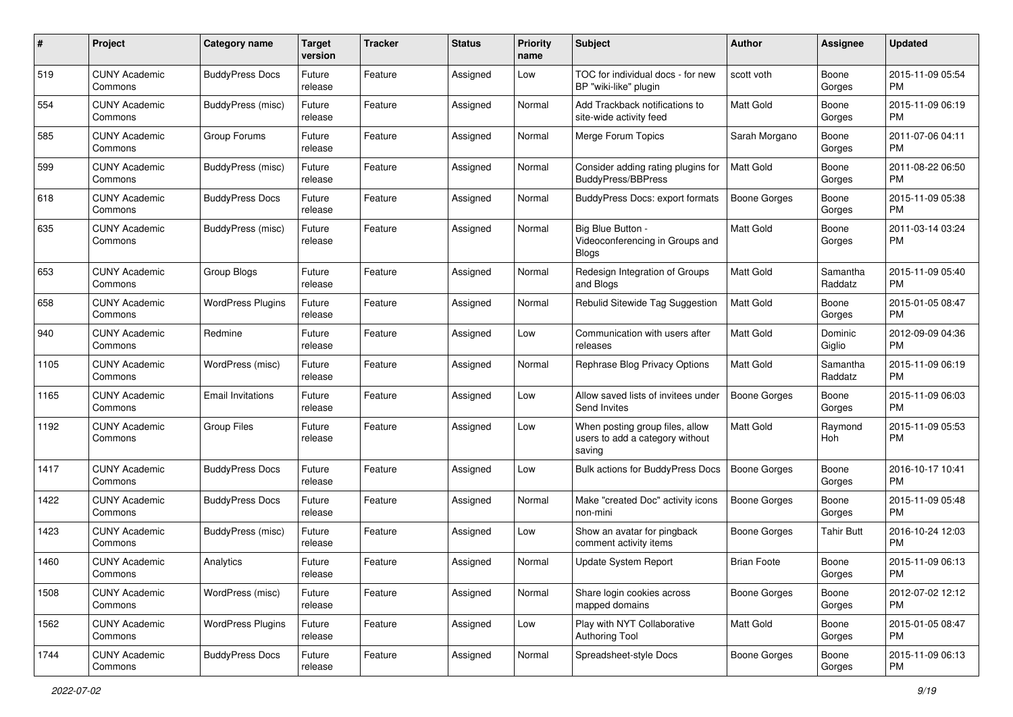| #    | Project                         | <b>Category name</b>     | <b>Target</b><br>version | <b>Tracker</b> | <b>Status</b> | Priority<br>name | <b>Subject</b>                                                               | <b>Author</b>       | <b>Assignee</b>     | <b>Updated</b>                |
|------|---------------------------------|--------------------------|--------------------------|----------------|---------------|------------------|------------------------------------------------------------------------------|---------------------|---------------------|-------------------------------|
| 519  | <b>CUNY Academic</b><br>Commons | <b>BuddyPress Docs</b>   | Future<br>release        | Feature        | Assigned      | Low              | TOC for individual docs - for new<br>BP "wiki-like" plugin                   | scott voth          | Boone<br>Gorges     | 2015-11-09 05:54<br>PM.       |
| 554  | <b>CUNY Academic</b><br>Commons | <b>BuddyPress (misc)</b> | Future<br>release        | Feature        | Assigned      | Normal           | Add Trackback notifications to<br>site-wide activity feed                    | Matt Gold           | Boone<br>Gorges     | 2015-11-09 06:19<br><b>PM</b> |
| 585  | <b>CUNY Academic</b><br>Commons | Group Forums             | Future<br>release        | Feature        | Assigned      | Normal           | Merge Forum Topics                                                           | Sarah Morgano       | Boone<br>Gorges     | 2011-07-06 04:11<br><b>PM</b> |
| 599  | <b>CUNY Academic</b><br>Commons | BuddyPress (misc)        | Future<br>release        | Feature        | Assigned      | Normal           | Consider adding rating plugins for<br>BuddyPress/BBPress                     | <b>Matt Gold</b>    | Boone<br>Gorges     | 2011-08-22 06:50<br>PM.       |
| 618  | <b>CUNY Academic</b><br>Commons | <b>BuddyPress Docs</b>   | Future<br>release        | Feature        | Assigned      | Normal           | BuddyPress Docs: export formats                                              | <b>Boone Gorges</b> | Boone<br>Gorges     | 2015-11-09 05:38<br><b>PM</b> |
| 635  | <b>CUNY Academic</b><br>Commons | <b>BuddyPress (misc)</b> | Future<br>release        | Feature        | Assigned      | Normal           | Big Blue Button -<br>Videoconferencing in Groups and<br><b>Blogs</b>         | <b>Matt Gold</b>    | Boone<br>Gorges     | 2011-03-14 03:24<br>PM.       |
| 653  | <b>CUNY Academic</b><br>Commons | Group Blogs              | Future<br>release        | Feature        | Assigned      | Normal           | Redesign Integration of Groups<br>and Blogs                                  | <b>Matt Gold</b>    | Samantha<br>Raddatz | 2015-11-09 05:40<br><b>PM</b> |
| 658  | <b>CUNY Academic</b><br>Commons | <b>WordPress Plugins</b> | Future<br>release        | Feature        | Assigned      | Normal           | Rebulid Sitewide Tag Suggestion                                              | <b>Matt Gold</b>    | Boone<br>Gorges     | 2015-01-05 08:47<br>PM.       |
| 940  | <b>CUNY Academic</b><br>Commons | Redmine                  | Future<br>release        | Feature        | Assigned      | Low              | Communication with users after<br>releases                                   | <b>Matt Gold</b>    | Dominic<br>Giglio   | 2012-09-09 04:36<br>PM.       |
| 1105 | <b>CUNY Academic</b><br>Commons | WordPress (misc)         | Future<br>release        | Feature        | Assigned      | Normal           | Rephrase Blog Privacy Options                                                | <b>Matt Gold</b>    | Samantha<br>Raddatz | 2015-11-09 06:19<br><b>PM</b> |
| 1165 | <b>CUNY Academic</b><br>Commons | <b>Email Invitations</b> | Future<br>release        | Feature        | Assigned      | Low              | Allow saved lists of invitees under<br>Send Invites                          | Boone Gorges        | Boone<br>Gorges     | 2015-11-09 06:03<br><b>PM</b> |
| 1192 | <b>CUNY Academic</b><br>Commons | <b>Group Files</b>       | Future<br>release        | Feature        | Assigned      | Low              | When posting group files, allow<br>users to add a category without<br>saving | <b>Matt Gold</b>    | Raymond<br>Hoh      | 2015-11-09 05:53<br>PM        |
| 1417 | <b>CUNY Academic</b><br>Commons | <b>BuddyPress Docs</b>   | Future<br>release        | Feature        | Assigned      | Low              | Bulk actions for BuddyPress Docs                                             | <b>Boone Gorges</b> | Boone<br>Gorges     | 2016-10-17 10:41<br>PM.       |
| 1422 | <b>CUNY Academic</b><br>Commons | <b>BuddyPress Docs</b>   | Future<br>release        | Feature        | Assigned      | Normal           | Make "created Doc" activity icons<br>non-mini                                | <b>Boone Gorges</b> | Boone<br>Gorges     | 2015-11-09 05:48<br><b>PM</b> |
| 1423 | <b>CUNY Academic</b><br>Commons | <b>BuddyPress (misc)</b> | Future<br>release        | Feature        | Assigned      | Low              | Show an avatar for pingback<br>comment activity items                        | Boone Gorges        | <b>Tahir Butt</b>   | 2016-10-24 12:03<br><b>PM</b> |
| 1460 | <b>CUNY Academic</b><br>Commons | Analytics                | Future<br>release        | Feature        | Assigned      | Normal           | <b>Update System Report</b>                                                  | <b>Brian Foote</b>  | Boone<br>Gorges     | 2015-11-09 06:13<br>PM        |
| 1508 | <b>CUNY Academic</b><br>Commons | WordPress (misc)         | Future<br>release        | Feature        | Assigned      | Normal           | Share login cookies across<br>mapped domains                                 | Boone Gorges        | Boone<br>Gorges     | 2012-07-02 12:12<br>PM.       |
| 1562 | <b>CUNY Academic</b><br>Commons | <b>WordPress Plugins</b> | Future<br>release        | Feature        | Assigned      | Low              | Play with NYT Collaborative<br>Authoring Tool                                | Matt Gold           | Boone<br>Gorges     | 2015-01-05 08:47<br><b>PM</b> |
| 1744 | <b>CUNY Academic</b><br>Commons | <b>BuddyPress Docs</b>   | Future<br>release        | Feature        | Assigned      | Normal           | Spreadsheet-style Docs                                                       | Boone Gorges        | Boone<br>Gorges     | 2015-11-09 06:13<br><b>PM</b> |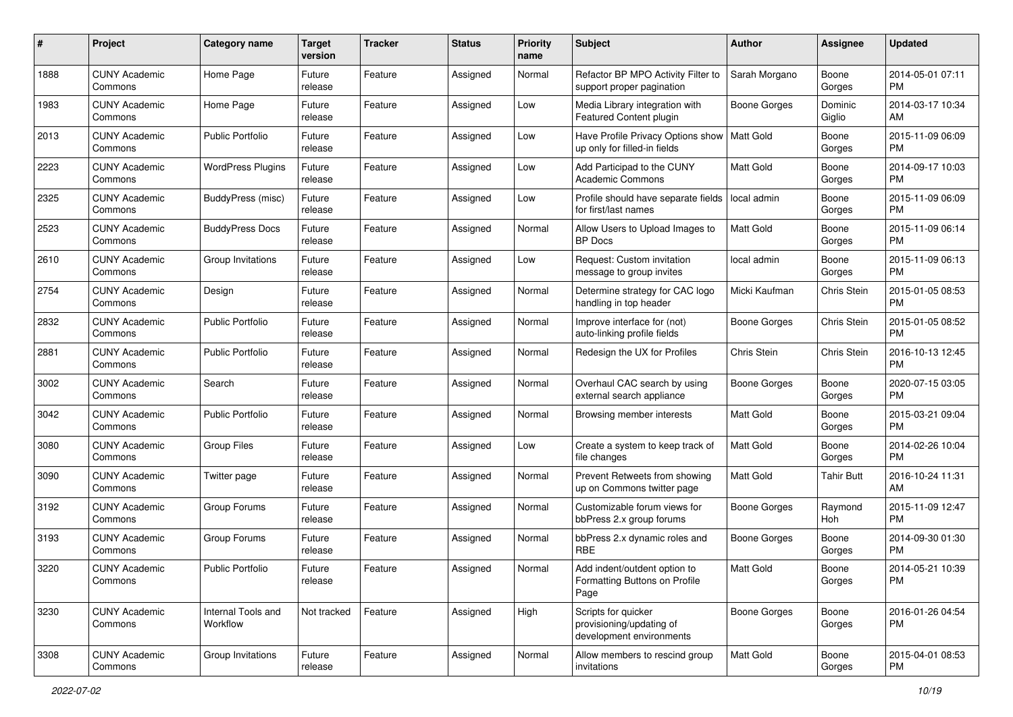| #    | Project                         | <b>Category name</b>           | <b>Target</b><br>version | <b>Tracker</b> | <b>Status</b> | Priority<br>name | <b>Subject</b>                                                              | <b>Author</b>       | <b>Assignee</b>   | <b>Updated</b>                |
|------|---------------------------------|--------------------------------|--------------------------|----------------|---------------|------------------|-----------------------------------------------------------------------------|---------------------|-------------------|-------------------------------|
| 1888 | <b>CUNY Academic</b><br>Commons | Home Page                      | Future<br>release        | Feature        | Assigned      | Normal           | Refactor BP MPO Activity Filter to<br>support proper pagination             | Sarah Morgano       | Boone<br>Gorges   | 2014-05-01 07:11<br>PM.       |
| 1983 | <b>CUNY Academic</b><br>Commons | Home Page                      | Future<br>release        | Feature        | Assigned      | Low              | Media Library integration with<br>Featured Content plugin                   | <b>Boone Gorges</b> | Dominic<br>Giglio | 2014-03-17 10:34<br>AM.       |
| 2013 | <b>CUNY Academic</b><br>Commons | <b>Public Portfolio</b>        | Future<br>release        | Feature        | Assigned      | Low              | Have Profile Privacy Options show<br>up only for filled-in fields           | <b>Matt Gold</b>    | Boone<br>Gorges   | 2015-11-09 06:09<br><b>PM</b> |
| 2223 | <b>CUNY Academic</b><br>Commons | <b>WordPress Plugins</b>       | Future<br>release        | Feature        | Assigned      | Low              | Add Participad to the CUNY<br><b>Academic Commons</b>                       | <b>Matt Gold</b>    | Boone<br>Gorges   | 2014-09-17 10:03<br>PM.       |
| 2325 | <b>CUNY Academic</b><br>Commons | BuddyPress (misc)              | Future<br>release        | Feature        | Assigned      | Low              | Profile should have separate fields<br>for first/last names                 | local admin         | Boone<br>Gorges   | 2015-11-09 06:09<br><b>PM</b> |
| 2523 | <b>CUNY Academic</b><br>Commons | <b>BuddyPress Docs</b>         | Future<br>release        | Feature        | Assigned      | Normal           | Allow Users to Upload Images to<br>BP Docs                                  | <b>Matt Gold</b>    | Boone<br>Gorges   | 2015-11-09 06:14<br><b>PM</b> |
| 2610 | <b>CUNY Academic</b><br>Commons | Group Invitations              | Future<br>release        | Feature        | Assigned      | Low              | Request: Custom invitation<br>message to group invites                      | local admin         | Boone<br>Gorges   | 2015-11-09 06:13<br>PM.       |
| 2754 | <b>CUNY Academic</b><br>Commons | Design                         | Future<br>release        | Feature        | Assigned      | Normal           | Determine strategy for CAC logo<br>handling in top header                   | Micki Kaufman       | Chris Stein       | 2015-01-05 08:53<br>PM.       |
| 2832 | <b>CUNY Academic</b><br>Commons | <b>Public Portfolio</b>        | Future<br>release        | Feature        | Assigned      | Normal           | Improve interface for (not)<br>auto-linking profile fields                  | Boone Gorges        | Chris Stein       | 2015-01-05 08:52<br><b>PM</b> |
| 2881 | <b>CUNY Academic</b><br>Commons | Public Portfolio               | Future<br>release        | Feature        | Assigned      | Normal           | Redesign the UX for Profiles                                                | Chris Stein         | Chris Stein       | 2016-10-13 12:45<br><b>PM</b> |
| 3002 | <b>CUNY Academic</b><br>Commons | Search                         | Future<br>release        | Feature        | Assigned      | Normal           | Overhaul CAC search by using<br>external search appliance                   | Boone Gorges        | Boone<br>Gorges   | 2020-07-15 03:05<br>PM.       |
| 3042 | <b>CUNY Academic</b><br>Commons | <b>Public Portfolio</b>        | Future<br>release        | Feature        | Assigned      | Normal           | Browsing member interests                                                   | <b>Matt Gold</b>    | Boone<br>Gorges   | 2015-03-21 09:04<br><b>PM</b> |
| 3080 | <b>CUNY Academic</b><br>Commons | <b>Group Files</b>             | Future<br>release        | Feature        | Assigned      | Low              | Create a system to keep track of<br>file changes                            | <b>Matt Gold</b>    | Boone<br>Gorges   | 2014-02-26 10:04<br><b>PM</b> |
| 3090 | <b>CUNY Academic</b><br>Commons | Twitter page                   | Future<br>release        | Feature        | Assigned      | Normal           | Prevent Retweets from showing<br>up on Commons twitter page                 | Matt Gold           | Tahir Butt        | 2016-10-24 11:31<br>AM.       |
| 3192 | <b>CUNY Academic</b><br>Commons | Group Forums                   | Future<br>release        | Feature        | Assigned      | Normal           | Customizable forum views for<br>bbPress 2.x group forums                    | Boone Gorges        | Raymond<br>Hoh    | 2015-11-09 12:47<br><b>PM</b> |
| 3193 | <b>CUNY Academic</b><br>Commons | Group Forums                   | Future<br>release        | Feature        | Assigned      | Normal           | bbPress 2.x dynamic roles and<br><b>RBE</b>                                 | Boone Gorges        | Boone<br>Gorges   | 2014-09-30 01:30<br><b>PM</b> |
| 3220 | <b>CUNY Academic</b><br>Commons | <b>Public Portfolio</b>        | Future<br>release        | Feature        | Assigned      | Normal           | Add indent/outdent option to<br>Formatting Buttons on Profile<br>Page       | <b>Matt Gold</b>    | Boone<br>Gorges   | 2014-05-21 10:39<br>PM        |
| 3230 | <b>CUNY Academic</b><br>Commons | Internal Tools and<br>Workflow | Not tracked              | Feature        | Assigned      | High             | Scripts for quicker<br>provisioning/updating of<br>development environments | Boone Gorges        | Boone<br>Gorges   | 2016-01-26 04:54<br><b>PM</b> |
| 3308 | <b>CUNY Academic</b><br>Commons | Group Invitations              | Future<br>release        | Feature        | Assigned      | Normal           | Allow members to rescind group<br>invitations                               | Matt Gold           | Boone<br>Gorges   | 2015-04-01 08:53<br><b>PM</b> |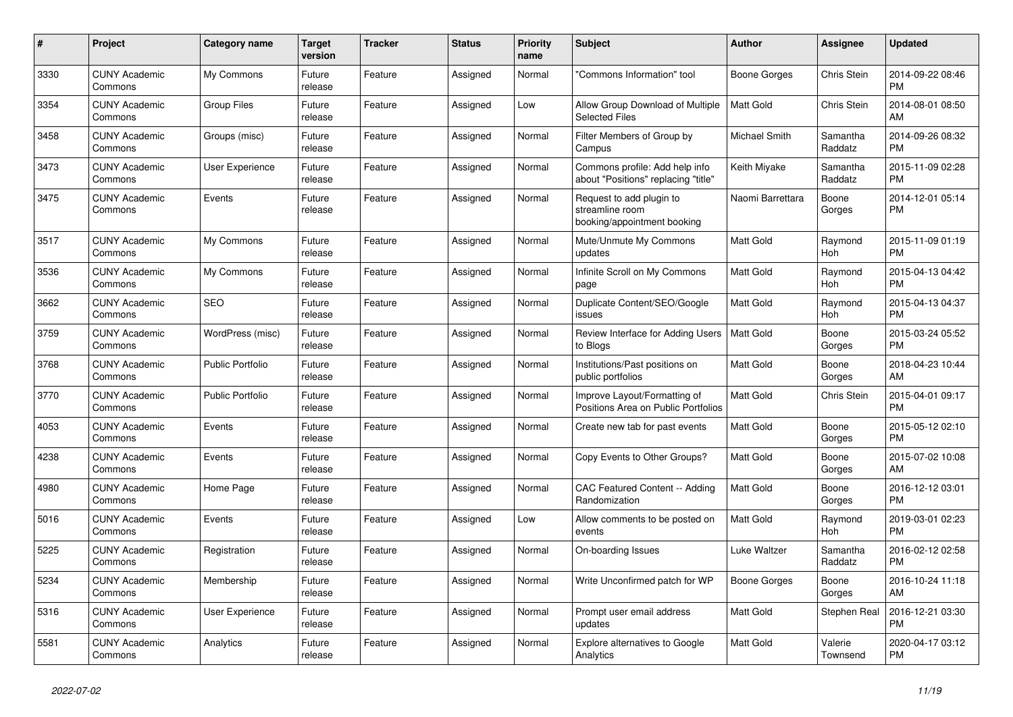| #    | <b>Project</b>                  | Category name           | <b>Target</b><br>version | <b>Tracker</b> | <b>Status</b> | <b>Priority</b><br>name | <b>Subject</b>                                                             | <b>Author</b>    | Assignee            | <b>Updated</b>                |
|------|---------------------------------|-------------------------|--------------------------|----------------|---------------|-------------------------|----------------------------------------------------------------------------|------------------|---------------------|-------------------------------|
| 3330 | <b>CUNY Academic</b><br>Commons | My Commons              | Future<br>release        | Feature        | Assigned      | Normal                  | "Commons Information" tool                                                 | Boone Gorges     | Chris Stein         | 2014-09-22 08:46<br><b>PM</b> |
| 3354 | <b>CUNY Academic</b><br>Commons | <b>Group Files</b>      | Future<br>release        | Feature        | Assigned      | Low                     | Allow Group Download of Multiple<br><b>Selected Files</b>                  | <b>Matt Gold</b> | <b>Chris Stein</b>  | 2014-08-01 08:50<br>AM        |
| 3458 | <b>CUNY Academic</b><br>Commons | Groups (misc)           | Future<br>release        | Feature        | Assigned      | Normal                  | Filter Members of Group by<br>Campus                                       | Michael Smith    | Samantha<br>Raddatz | 2014-09-26 08:32<br><b>PM</b> |
| 3473 | <b>CUNY Academic</b><br>Commons | <b>User Experience</b>  | Future<br>release        | Feature        | Assigned      | Normal                  | Commons profile: Add help info<br>about "Positions" replacing "title"      | Keith Miyake     | Samantha<br>Raddatz | 2015-11-09 02:28<br><b>PM</b> |
| 3475 | <b>CUNY Academic</b><br>Commons | Events                  | Future<br>release        | Feature        | Assigned      | Normal                  | Request to add plugin to<br>streamline room<br>booking/appointment booking | Naomi Barrettara | Boone<br>Gorges     | 2014-12-01 05:14<br><b>PM</b> |
| 3517 | <b>CUNY Academic</b><br>Commons | My Commons              | Future<br>release        | Feature        | Assigned      | Normal                  | Mute/Unmute My Commons<br>updates                                          | <b>Matt Gold</b> | Raymond<br>Hoh      | 2015-11-09 01:19<br><b>PM</b> |
| 3536 | <b>CUNY Academic</b><br>Commons | My Commons              | Future<br>release        | Feature        | Assigned      | Normal                  | Infinite Scroll on My Commons<br>page                                      | <b>Matt Gold</b> | Raymond<br>Hoh      | 2015-04-13 04:42<br><b>PM</b> |
| 3662 | <b>CUNY Academic</b><br>Commons | <b>SEO</b>              | Future<br>release        | Feature        | Assigned      | Normal                  | Duplicate Content/SEO/Google<br>issues                                     | <b>Matt Gold</b> | Raymond<br>Hoh      | 2015-04-13 04:37<br><b>PM</b> |
| 3759 | <b>CUNY Academic</b><br>Commons | WordPress (misc)        | Future<br>release        | Feature        | Assigned      | Normal                  | Review Interface for Adding Users<br>to Blogs                              | Matt Gold        | Boone<br>Gorges     | 2015-03-24 05:52<br><b>PM</b> |
| 3768 | <b>CUNY Academic</b><br>Commons | <b>Public Portfolio</b> | Future<br>release        | Feature        | Assigned      | Normal                  | Institutions/Past positions on<br>public portfolios                        | <b>Matt Gold</b> | Boone<br>Gorges     | 2018-04-23 10:44<br>AM        |
| 3770 | <b>CUNY Academic</b><br>Commons | <b>Public Portfolio</b> | Future<br>release        | Feature        | Assigned      | Normal                  | Improve Layout/Formatting of<br>Positions Area on Public Portfolios        | <b>Matt Gold</b> | Chris Stein         | 2015-04-01 09:17<br><b>PM</b> |
| 4053 | <b>CUNY Academic</b><br>Commons | Events                  | Future<br>release        | Feature        | Assigned      | Normal                  | Create new tab for past events                                             | <b>Matt Gold</b> | Boone<br>Gorges     | 2015-05-12 02:10<br><b>PM</b> |
| 4238 | <b>CUNY Academic</b><br>Commons | Events                  | Future<br>release        | Feature        | Assigned      | Normal                  | Copy Events to Other Groups?                                               | <b>Matt Gold</b> | Boone<br>Gorges     | 2015-07-02 10:08<br>AM        |
| 4980 | <b>CUNY Academic</b><br>Commons | Home Page               | Future<br>release        | Feature        | Assigned      | Normal                  | CAC Featured Content -- Adding<br>Randomization                            | <b>Matt Gold</b> | Boone<br>Gorges     | 2016-12-12 03:01<br><b>PM</b> |
| 5016 | <b>CUNY Academic</b><br>Commons | Events                  | Future<br>release        | Feature        | Assigned      | Low                     | Allow comments to be posted on<br>events                                   | <b>Matt Gold</b> | Raymond<br>Hoh      | 2019-03-01 02:23<br><b>PM</b> |
| 5225 | <b>CUNY Academic</b><br>Commons | Registration            | Future<br>release        | Feature        | Assigned      | Normal                  | On-boarding Issues                                                         | Luke Waltzer     | Samantha<br>Raddatz | 2016-02-12 02:58<br><b>PM</b> |
| 5234 | <b>CUNY Academic</b><br>Commons | Membership              | Future<br>release        | Feature        | Assigned      | Normal                  | Write Unconfirmed patch for WP                                             | Boone Gorges     | Boone<br>Gorges     | 2016-10-24 11:18<br>AM        |
| 5316 | <b>CUNY Academic</b><br>Commons | User Experience         | Future<br>release        | Feature        | Assigned      | Normal                  | Prompt user email address<br>updates                                       | <b>Matt Gold</b> | Stephen Real        | 2016-12-21 03:30<br><b>PM</b> |
| 5581 | <b>CUNY Academic</b><br>Commons | Analytics               | Future<br>release        | Feature        | Assigned      | Normal                  | Explore alternatives to Google<br>Analytics                                | <b>Matt Gold</b> | Valerie<br>Townsend | 2020-04-17 03:12<br><b>PM</b> |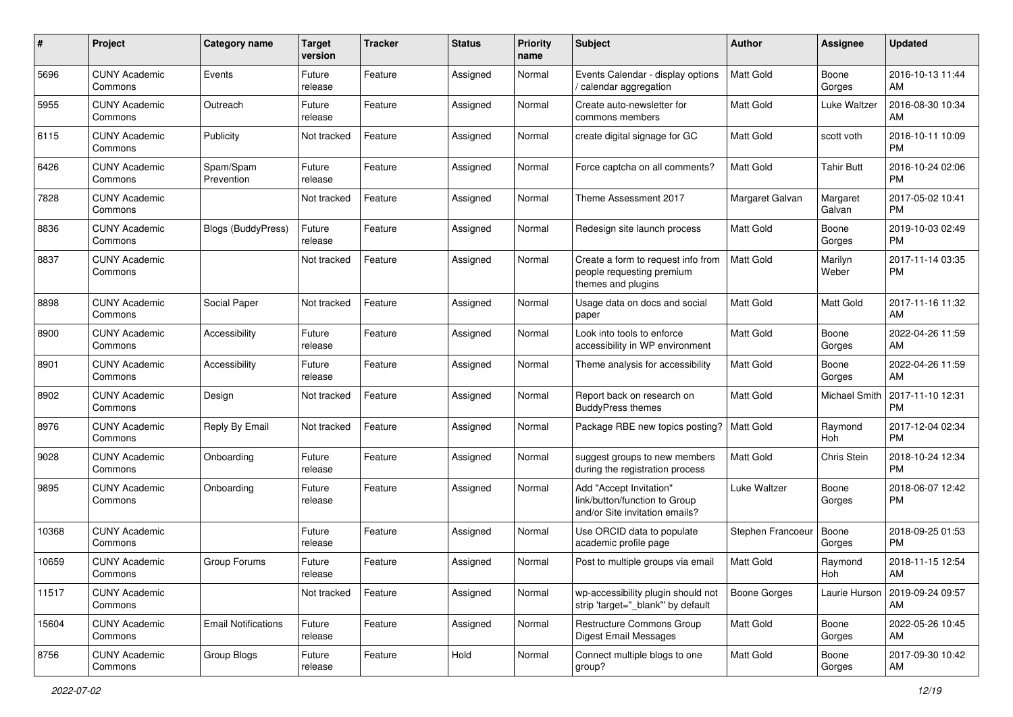| #     | Project                         | <b>Category name</b>       | <b>Target</b><br>version | <b>Tracker</b> | <b>Status</b> | Priority<br>name | <b>Subject</b>                                                                             | Author            | <b>Assignee</b>      | <b>Updated</b>                |
|-------|---------------------------------|----------------------------|--------------------------|----------------|---------------|------------------|--------------------------------------------------------------------------------------------|-------------------|----------------------|-------------------------------|
| 5696  | <b>CUNY Academic</b><br>Commons | Events                     | Future<br>release        | Feature        | Assigned      | Normal           | Events Calendar - display options<br>/ calendar aggregation                                | <b>Matt Gold</b>  | Boone<br>Gorges      | 2016-10-13 11:44<br>AM        |
| 5955  | <b>CUNY Academic</b><br>Commons | Outreach                   | Future<br>release        | Feature        | Assigned      | Normal           | Create auto-newsletter for<br>commons members                                              | <b>Matt Gold</b>  | Luke Waltzer         | 2016-08-30 10:34<br>AM        |
| 6115  | <b>CUNY Academic</b><br>Commons | Publicity                  | Not tracked              | Feature        | Assigned      | Normal           | create digital signage for GC                                                              | Matt Gold         | scott voth           | 2016-10-11 10:09<br><b>PM</b> |
| 6426  | <b>CUNY Academic</b><br>Commons | Spam/Spam<br>Prevention    | Future<br>release        | Feature        | Assigned      | Normal           | Force captcha on all comments?                                                             | <b>Matt Gold</b>  | Tahir Butt           | 2016-10-24 02:06<br><b>PM</b> |
| 7828  | <b>CUNY Academic</b><br>Commons |                            | Not tracked              | Feature        | Assigned      | Normal           | Theme Assessment 2017                                                                      | Margaret Galvan   | Margaret<br>Galvan   | 2017-05-02 10:41<br><b>PM</b> |
| 8836  | <b>CUNY Academic</b><br>Commons | <b>Blogs (BuddyPress)</b>  | Future<br>release        | Feature        | Assigned      | Normal           | Redesign site launch process                                                               | Matt Gold         | Boone<br>Gorges      | 2019-10-03 02:49<br><b>PM</b> |
| 8837  | <b>CUNY Academic</b><br>Commons |                            | Not tracked              | Feature        | Assigned      | Normal           | Create a form to request info from<br>people requesting premium<br>themes and plugins      | <b>Matt Gold</b>  | Marilyn<br>Weber     | 2017-11-14 03:35<br><b>PM</b> |
| 8898  | <b>CUNY Academic</b><br>Commons | Social Paper               | Not tracked              | Feature        | Assigned      | Normal           | Usage data on docs and social<br>paper                                                     | Matt Gold         | Matt Gold            | 2017-11-16 11:32<br>AM        |
| 8900  | <b>CUNY Academic</b><br>Commons | Accessibility              | Future<br>release        | Feature        | Assigned      | Normal           | Look into tools to enforce<br>accessibility in WP environment                              | <b>Matt Gold</b>  | Boone<br>Gorges      | 2022-04-26 11:59<br>AM        |
| 8901  | <b>CUNY Academic</b><br>Commons | Accessibility              | Future<br>release        | Feature        | Assigned      | Normal           | Theme analysis for accessibility                                                           | Matt Gold         | Boone<br>Gorges      | 2022-04-26 11:59<br>AM        |
| 8902  | <b>CUNY Academic</b><br>Commons | Design                     | Not tracked              | Feature        | Assigned      | Normal           | Report back on research on<br><b>BuddyPress themes</b>                                     | Matt Gold         | <b>Michael Smith</b> | 2017-11-10 12:31<br><b>PM</b> |
| 8976  | <b>CUNY Academic</b><br>Commons | Reply By Email             | Not tracked              | Feature        | Assigned      | Normal           | Package RBE new topics posting?                                                            | <b>Matt Gold</b>  | Raymond<br>Hoh       | 2017-12-04 02:34<br><b>PM</b> |
| 9028  | <b>CUNY Academic</b><br>Commons | Onboarding                 | Future<br>release        | Feature        | Assigned      | Normal           | suggest groups to new members<br>during the registration process                           | <b>Matt Gold</b>  | Chris Stein          | 2018-10-24 12:34<br><b>PM</b> |
| 9895  | <b>CUNY Academic</b><br>Commons | Onboarding                 | Future<br>release        | Feature        | Assigned      | Normal           | Add "Accept Invitation"<br>link/button/function to Group<br>and/or Site invitation emails? | Luke Waltzer      | Boone<br>Gorges      | 2018-06-07 12:42<br><b>PM</b> |
| 10368 | <b>CUNY Academic</b><br>Commons |                            | Future<br>release        | Feature        | Assigned      | Normal           | Use ORCID data to populate<br>academic profile page                                        | Stephen Francoeur | Boone<br>Gorges      | 2018-09-25 01:53<br><b>PM</b> |
| 10659 | <b>CUNY Academic</b><br>Commons | Group Forums               | Future<br>release        | Feature        | Assigned      | Normal           | Post to multiple groups via email                                                          | <b>Matt Gold</b>  | Raymond<br>Hoh       | 2018-11-15 12:54<br>AM        |
| 11517 | <b>CUNY Academic</b><br>Commons |                            | Not tracked              | Feature        | Assigned      | Normal           | wp-accessibility plugin should not<br>strip 'target="_blank" by default                    | Boone Gorges      | Laurie Hurson        | 2019-09-24 09:57<br>AM        |
| 15604 | <b>CUNY Academic</b><br>Commons | <b>Email Notifications</b> | Future<br>release        | Feature        | Assigned      | Normal           | Restructure Commons Group<br><b>Digest Email Messages</b>                                  | Matt Gold         | Boone<br>Gorges      | 2022-05-26 10:45<br>AM        |
| 8756  | <b>CUNY Academic</b><br>Commons | Group Blogs                | Future<br>release        | Feature        | Hold          | Normal           | Connect multiple blogs to one<br>group?                                                    | Matt Gold         | Boone<br>Gorges      | 2017-09-30 10:42<br>AM        |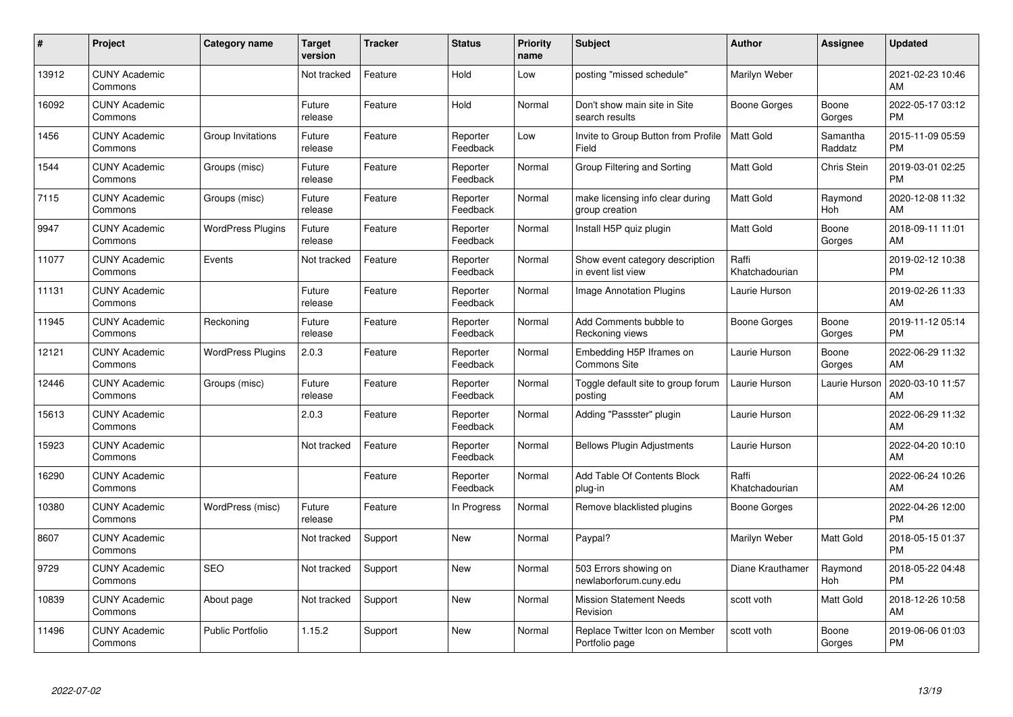| #     | Project                         | <b>Category name</b>     | Target<br>version | <b>Tracker</b> | <b>Status</b>        | <b>Priority</b><br>name | <b>Subject</b>                                        | <b>Author</b>           | <b>Assignee</b>     | <b>Updated</b>                |
|-------|---------------------------------|--------------------------|-------------------|----------------|----------------------|-------------------------|-------------------------------------------------------|-------------------------|---------------------|-------------------------------|
| 13912 | <b>CUNY Academic</b><br>Commons |                          | Not tracked       | Feature        | Hold                 | Low                     | posting "missed schedule"                             | Marilyn Weber           |                     | 2021-02-23 10:46<br>AM        |
| 16092 | <b>CUNY Academic</b><br>Commons |                          | Future<br>release | Feature        | Hold                 | Normal                  | Don't show main site in Site<br>search results        | Boone Gorges            | Boone<br>Gorges     | 2022-05-17 03:12<br><b>PM</b> |
| 1456  | <b>CUNY Academic</b><br>Commons | Group Invitations        | Future<br>release | Feature        | Reporter<br>Feedback | Low                     | Invite to Group Button from Profile<br>Field          | <b>Matt Gold</b>        | Samantha<br>Raddatz | 2015-11-09 05:59<br><b>PM</b> |
| 1544  | <b>CUNY Academic</b><br>Commons | Groups (misc)            | Future<br>release | Feature        | Reporter<br>Feedback | Normal                  | Group Filtering and Sorting                           | <b>Matt Gold</b>        | Chris Stein         | 2019-03-01 02:25<br><b>PM</b> |
| 7115  | <b>CUNY Academic</b><br>Commons | Groups (misc)            | Future<br>release | Feature        | Reporter<br>Feedback | Normal                  | make licensing info clear during<br>group creation    | <b>Matt Gold</b>        | Raymond<br>Hoh      | 2020-12-08 11:32<br>AM        |
| 9947  | <b>CUNY Academic</b><br>Commons | <b>WordPress Plugins</b> | Future<br>release | Feature        | Reporter<br>Feedback | Normal                  | Install H5P quiz plugin                               | <b>Matt Gold</b>        | Boone<br>Gorges     | 2018-09-11 11:01<br>AM.       |
| 11077 | <b>CUNY Academic</b><br>Commons | Events                   | Not tracked       | Feature        | Reporter<br>Feedback | Normal                  | Show event category description<br>in event list view | Raffi<br>Khatchadourian |                     | 2019-02-12 10:38<br><b>PM</b> |
| 11131 | <b>CUNY Academic</b><br>Commons |                          | Future<br>release | Feature        | Reporter<br>Feedback | Normal                  | Image Annotation Plugins                              | Laurie Hurson           |                     | 2019-02-26 11:33<br>AM        |
| 11945 | <b>CUNY Academic</b><br>Commons | Reckoning                | Future<br>release | Feature        | Reporter<br>Feedback | Normal                  | Add Comments bubble to<br>Reckoning views             | Boone Gorges            | Boone<br>Gorges     | 2019-11-12 05:14<br><b>PM</b> |
| 12121 | <b>CUNY Academic</b><br>Commons | <b>WordPress Plugins</b> | 2.0.3             | Feature        | Reporter<br>Feedback | Normal                  | Embedding H5P Iframes on<br><b>Commons Site</b>       | Laurie Hurson           | Boone<br>Gorges     | 2022-06-29 11:32<br>AM        |
| 12446 | <b>CUNY Academic</b><br>Commons | Groups (misc)            | Future<br>release | Feature        | Reporter<br>Feedback | Normal                  | Toggle default site to group forum<br>posting         | Laurie Hurson           | Laurie Hurson       | 2020-03-10 11:57<br>AM        |
| 15613 | <b>CUNY Academic</b><br>Commons |                          | 2.0.3             | Feature        | Reporter<br>Feedback | Normal                  | Adding "Passster" plugin                              | Laurie Hurson           |                     | 2022-06-29 11:32<br>AM        |
| 15923 | <b>CUNY Academic</b><br>Commons |                          | Not tracked       | Feature        | Reporter<br>Feedback | Normal                  | <b>Bellows Plugin Adjustments</b>                     | Laurie Hurson           |                     | 2022-04-20 10:10<br>AM.       |
| 16290 | <b>CUNY Academic</b><br>Commons |                          |                   | Feature        | Reporter<br>Feedback | Normal                  | Add Table Of Contents Block<br>plug-in                | Raffi<br>Khatchadourian |                     | 2022-06-24 10:26<br><b>AM</b> |
| 10380 | <b>CUNY Academic</b><br>Commons | WordPress (misc)         | Future<br>release | Feature        | In Progress          | Normal                  | Remove blacklisted plugins                            | Boone Gorges            |                     | 2022-04-26 12:00<br><b>PM</b> |
| 8607  | <b>CUNY Academic</b><br>Commons |                          | Not tracked       | Support        | New                  | Normal                  | Paypal?                                               | Marilyn Weber           | Matt Gold           | 2018-05-15 01:37<br><b>PM</b> |
| 9729  | <b>CUNY Academic</b><br>Commons | <b>SEO</b>               | Not tracked       | Support        | New                  | Normal                  | 503 Errors showing on<br>newlaborforum.cuny.edu       | Diane Krauthamer        | Raymond<br>Hoh      | 2018-05-22 04:48<br><b>PM</b> |
| 10839 | <b>CUNY Academic</b><br>Commons | About page               | Not tracked       | Support        | New                  | Normal                  | <b>Mission Statement Needs</b><br>Revision            | scott voth              | Matt Gold           | 2018-12-26 10:58<br>AM        |
| 11496 | <b>CUNY Academic</b><br>Commons | <b>Public Portfolio</b>  | 1.15.2            | Support        | <b>New</b>           | Normal                  | Replace Twitter Icon on Member<br>Portfolio page      | scott voth              | Boone<br>Gorges     | 2019-06-06 01:03<br>PM        |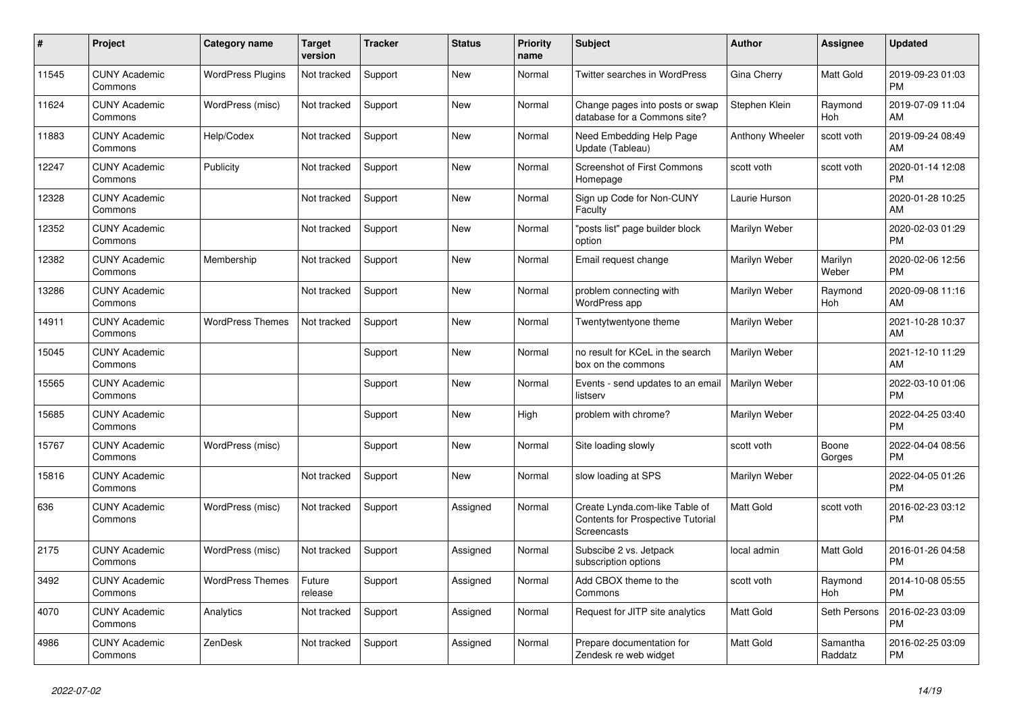| $\#$  | <b>Project</b>                  | <b>Category name</b>     | Target<br>version | <b>Tracker</b> | <b>Status</b> | <b>Priority</b><br>name | <b>Subject</b>                                                                            | <b>Author</b>    | Assignee            | <b>Updated</b>                |
|-------|---------------------------------|--------------------------|-------------------|----------------|---------------|-------------------------|-------------------------------------------------------------------------------------------|------------------|---------------------|-------------------------------|
| 11545 | <b>CUNY Academic</b><br>Commons | <b>WordPress Plugins</b> | Not tracked       | Support        | <b>New</b>    | Normal                  | <b>Twitter searches in WordPress</b>                                                      | Gina Cherry      | Matt Gold           | 2019-09-23 01:03<br><b>PM</b> |
| 11624 | <b>CUNY Academic</b><br>Commons | WordPress (misc)         | Not tracked       | Support        | <b>New</b>    | Normal                  | Change pages into posts or swap<br>database for a Commons site?                           | Stephen Klein    | Raymond<br>Hoh      | 2019-07-09 11:04<br>AM        |
| 11883 | <b>CUNY Academic</b><br>Commons | Help/Codex               | Not tracked       | Support        | <b>New</b>    | Normal                  | Need Embedding Help Page<br>Update (Tableau)                                              | Anthony Wheeler  | scott voth          | 2019-09-24 08:49<br>AM        |
| 12247 | <b>CUNY Academic</b><br>Commons | Publicity                | Not tracked       | Support        | <b>New</b>    | Normal                  | <b>Screenshot of First Commons</b><br>Homepage                                            | scott voth       | scott voth          | 2020-01-14 12:08<br><b>PM</b> |
| 12328 | <b>CUNY Academic</b><br>Commons |                          | Not tracked       | Support        | <b>New</b>    | Normal                  | Sign up Code for Non-CUNY<br>Faculty                                                      | Laurie Hurson    |                     | 2020-01-28 10:25<br>AM        |
| 12352 | <b>CUNY Academic</b><br>Commons |                          | Not tracked       | Support        | New           | Normal                  | 'posts list" page builder block<br>option                                                 | Marilyn Weber    |                     | 2020-02-03 01:29<br><b>PM</b> |
| 12382 | <b>CUNY Academic</b><br>Commons | Membership               | Not tracked       | Support        | <b>New</b>    | Normal                  | Email request change                                                                      | Marilyn Weber    | Marilyn<br>Weber    | 2020-02-06 12:56<br><b>PM</b> |
| 13286 | <b>CUNY Academic</b><br>Commons |                          | Not tracked       | Support        | <b>New</b>    | Normal                  | problem connecting with<br><b>WordPress app</b>                                           | Marilyn Weber    | Raymond<br>Hoh      | 2020-09-08 11:16<br>AM        |
| 14911 | <b>CUNY Academic</b><br>Commons | <b>WordPress Themes</b>  | Not tracked       | Support        | <b>New</b>    | Normal                  | Twentytwentyone theme                                                                     | Marilyn Weber    |                     | 2021-10-28 10:37<br>AM        |
| 15045 | <b>CUNY Academic</b><br>Commons |                          |                   | Support        | <b>New</b>    | Normal                  | no result for KCeL in the search<br>box on the commons                                    | Marilyn Weber    |                     | 2021-12-10 11:29<br>AM        |
| 15565 | <b>CUNY Academic</b><br>Commons |                          |                   | Support        | <b>New</b>    | Normal                  | Events - send updates to an email<br>listserv                                             | Marilyn Weber    |                     | 2022-03-10 01:06<br><b>PM</b> |
| 15685 | <b>CUNY Academic</b><br>Commons |                          |                   | Support        | New           | High                    | problem with chrome?                                                                      | Marilyn Weber    |                     | 2022-04-25 03:40<br><b>PM</b> |
| 15767 | <b>CUNY Academic</b><br>Commons | WordPress (misc)         |                   | Support        | <b>New</b>    | Normal                  | Site loading slowly                                                                       | scott voth       | Boone<br>Gorges     | 2022-04-04 08:56<br><b>PM</b> |
| 15816 | <b>CUNY Academic</b><br>Commons |                          | Not tracked       | Support        | <b>New</b>    | Normal                  | slow loading at SPS                                                                       | Marilyn Weber    |                     | 2022-04-05 01:26<br><b>PM</b> |
| 636   | <b>CUNY Academic</b><br>Commons | WordPress (misc)         | Not tracked       | Support        | Assigned      | Normal                  | Create Lynda.com-like Table of<br><b>Contents for Prospective Tutorial</b><br>Screencasts | Matt Gold        | scott voth          | 2016-02-23 03:12<br>PM        |
| 2175  | <b>CUNY Academic</b><br>Commons | WordPress (misc)         | Not tracked       | Support        | Assigned      | Normal                  | Subscibe 2 vs. Jetpack<br>subscription options                                            | local admin      | Matt Gold           | 2016-01-26 04:58<br><b>PM</b> |
| 3492  | <b>CUNY Academic</b><br>Commons | <b>WordPress Themes</b>  | Future<br>release | Support        | Assigned      | Normal                  | Add CBOX theme to the<br>Commons                                                          | scott voth       | Raymond<br>Hoh      | 2014-10-08 05:55<br><b>PM</b> |
| 4070  | <b>CUNY Academic</b><br>Commons | Analytics                | Not tracked       | Support        | Assigned      | Normal                  | Request for JITP site analytics                                                           | Matt Gold        | Seth Persons        | 2016-02-23 03:09<br><b>PM</b> |
| 4986  | <b>CUNY Academic</b><br>Commons | ZenDesk                  | Not tracked       | Support        | Assigned      | Normal                  | Prepare documentation for<br>Zendesk re web widget                                        | <b>Matt Gold</b> | Samantha<br>Raddatz | 2016-02-25 03:09<br><b>PM</b> |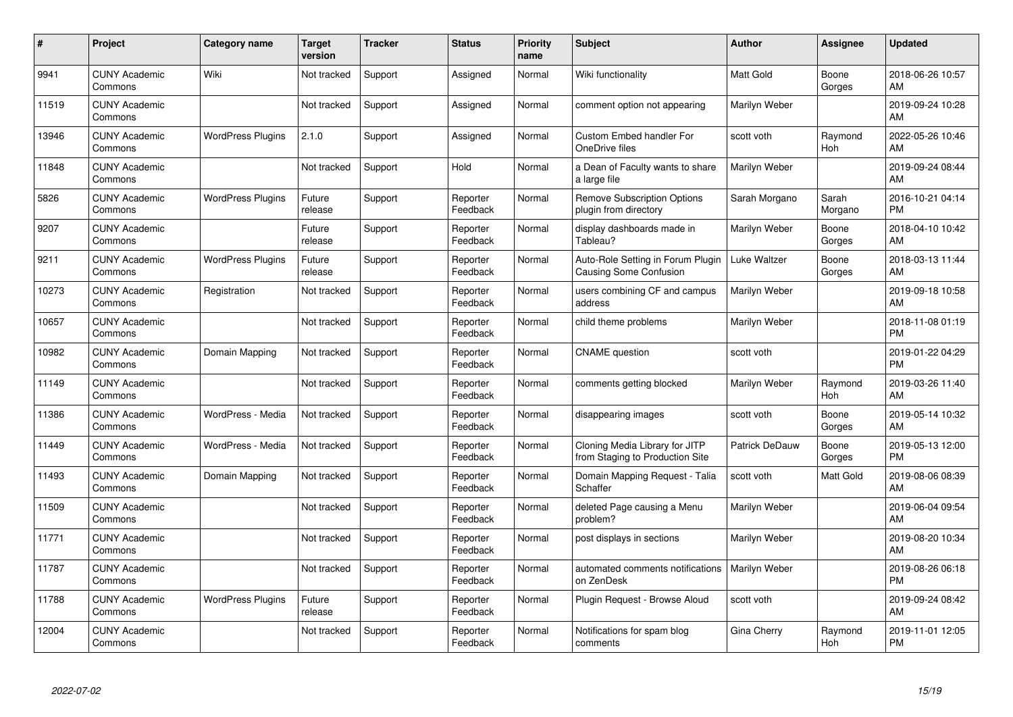| #     | Project                         | <b>Category name</b>     | <b>Target</b><br>version | <b>Tracker</b> | <b>Status</b>        | <b>Priority</b><br>name | <b>Subject</b>                                                     | <b>Author</b>         | <b>Assignee</b>  | <b>Updated</b>                |
|-------|---------------------------------|--------------------------|--------------------------|----------------|----------------------|-------------------------|--------------------------------------------------------------------|-----------------------|------------------|-------------------------------|
| 9941  | <b>CUNY Academic</b><br>Commons | Wiki                     | Not tracked              | Support        | Assigned             | Normal                  | Wiki functionality                                                 | <b>Matt Gold</b>      | Boone<br>Gorges  | 2018-06-26 10:57<br>AM        |
| 11519 | <b>CUNY Academic</b><br>Commons |                          | Not tracked              | Support        | Assigned             | Normal                  | comment option not appearing                                       | Marilyn Weber         |                  | 2019-09-24 10:28<br>AM        |
| 13946 | <b>CUNY Academic</b><br>Commons | <b>WordPress Plugins</b> | 2.1.0                    | Support        | Assigned             | Normal                  | <b>Custom Embed handler For</b><br>OneDrive files                  | scott voth            | Raymond<br>Hoh   | 2022-05-26 10:46<br>AM        |
| 11848 | <b>CUNY Academic</b><br>Commons |                          | Not tracked              | Support        | Hold                 | Normal                  | a Dean of Faculty wants to share<br>a large file                   | Marilyn Weber         |                  | 2019-09-24 08:44<br>AM        |
| 5826  | <b>CUNY Academic</b><br>Commons | <b>WordPress Plugins</b> | Future<br>release        | Support        | Reporter<br>Feedback | Normal                  | <b>Remove Subscription Options</b><br>plugin from directory        | Sarah Morgano         | Sarah<br>Morgano | 2016-10-21 04:14<br><b>PM</b> |
| 9207  | <b>CUNY Academic</b><br>Commons |                          | Future<br>release        | Support        | Reporter<br>Feedback | Normal                  | display dashboards made in<br>Tableau?                             | Marilyn Weber         | Boone<br>Gorges  | 2018-04-10 10:42<br>AM        |
| 9211  | <b>CUNY Academic</b><br>Commons | <b>WordPress Plugins</b> | Future<br>release        | Support        | Reporter<br>Feedback | Normal                  | Auto-Role Setting in Forum Plugin<br><b>Causing Some Confusion</b> | Luke Waltzer          | Boone<br>Gorges  | 2018-03-13 11:44<br>AM        |
| 10273 | <b>CUNY Academic</b><br>Commons | Registration             | Not tracked              | Support        | Reporter<br>Feedback | Normal                  | users combining CF and campus<br>address                           | Marilyn Weber         |                  | 2019-09-18 10:58<br>AM        |
| 10657 | <b>CUNY Academic</b><br>Commons |                          | Not tracked              | Support        | Reporter<br>Feedback | Normal                  | child theme problems                                               | Marilyn Weber         |                  | 2018-11-08 01:19<br><b>PM</b> |
| 10982 | <b>CUNY Academic</b><br>Commons | Domain Mapping           | Not tracked              | Support        | Reporter<br>Feedback | Normal                  | <b>CNAME</b> question                                              | scott voth            |                  | 2019-01-22 04:29<br><b>PM</b> |
| 11149 | <b>CUNY Academic</b><br>Commons |                          | Not tracked              | Support        | Reporter<br>Feedback | Normal                  | comments getting blocked                                           | Marilyn Weber         | Raymond<br>Hoh   | 2019-03-26 11:40<br>AM        |
| 11386 | <b>CUNY Academic</b><br>Commons | WordPress - Media        | Not tracked              | Support        | Reporter<br>Feedback | Normal                  | disappearing images                                                | scott voth            | Boone<br>Gorges  | 2019-05-14 10:32<br>AM        |
| 11449 | <b>CUNY Academic</b><br>Commons | WordPress - Media        | Not tracked              | Support        | Reporter<br>Feedback | Normal                  | Cloning Media Library for JITP<br>from Staging to Production Site  | <b>Patrick DeDauw</b> | Boone<br>Gorges  | 2019-05-13 12:00<br><b>PM</b> |
| 11493 | <b>CUNY Academic</b><br>Commons | Domain Mapping           | Not tracked              | Support        | Reporter<br>Feedback | Normal                  | Domain Mapping Request - Talia<br>Schaffer                         | scott voth            | Matt Gold        | 2019-08-06 08:39<br>AM        |
| 11509 | <b>CUNY Academic</b><br>Commons |                          | Not tracked              | Support        | Reporter<br>Feedback | Normal                  | deleted Page causing a Menu<br>problem?                            | Marilyn Weber         |                  | 2019-06-04 09:54<br>AM        |
| 11771 | <b>CUNY Academic</b><br>Commons |                          | Not tracked              | Support        | Reporter<br>Feedback | Normal                  | post displays in sections                                          | Marilyn Weber         |                  | 2019-08-20 10:34<br>AM        |
| 11787 | <b>CUNY Academic</b><br>Commons |                          | Not tracked              | Support        | Reporter<br>Feedback | Normal                  | automated comments notifications<br>on ZenDesk                     | Marilyn Weber         |                  | 2019-08-26 06:18<br><b>PM</b> |
| 11788 | <b>CUNY Academic</b><br>Commons | <b>WordPress Plugins</b> | Future<br>release        | Support        | Reporter<br>Feedback | Normal                  | Plugin Request - Browse Aloud                                      | scott voth            |                  | 2019-09-24 08:42<br>AM        |
| 12004 | <b>CUNY Academic</b><br>Commons |                          | Not tracked              | Support        | Reporter<br>Feedback | Normal                  | Notifications for spam blog<br>comments                            | Gina Cherry           | Raymond<br>Hoh   | 2019-11-01 12:05<br><b>PM</b> |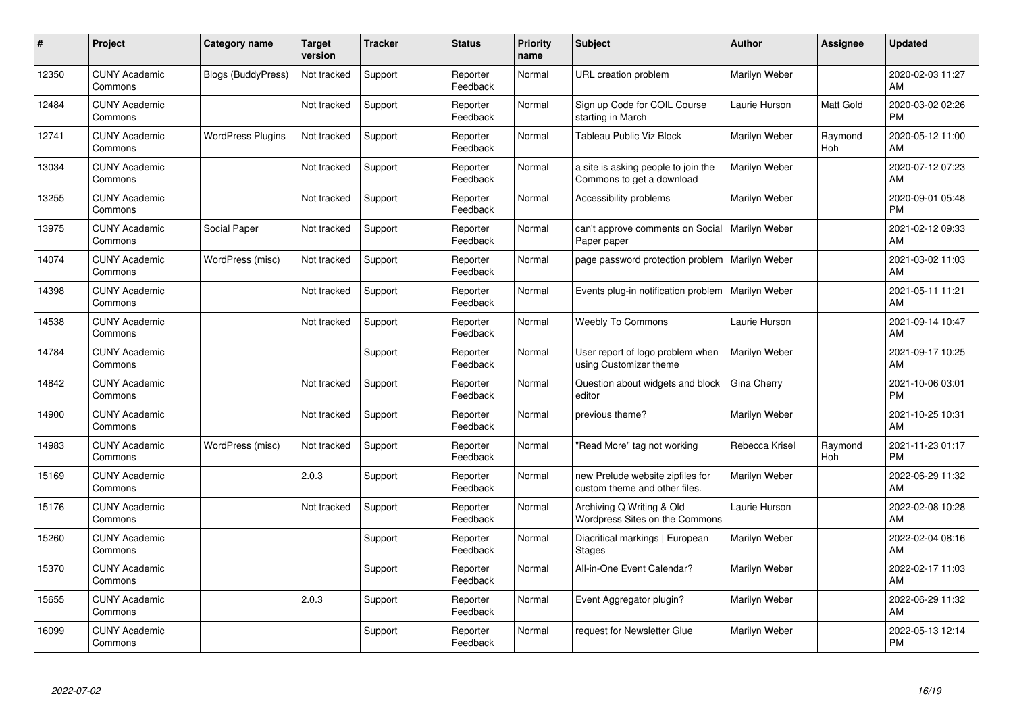| #     | Project                         | <b>Category name</b>      | <b>Target</b><br>version | <b>Tracker</b> | <b>Status</b>        | <b>Priority</b><br>name | <b>Subject</b>                                                    | <b>Author</b>  | <b>Assignee</b> | <b>Updated</b>                |
|-------|---------------------------------|---------------------------|--------------------------|----------------|----------------------|-------------------------|-------------------------------------------------------------------|----------------|-----------------|-------------------------------|
| 12350 | <b>CUNY Academic</b><br>Commons | <b>Blogs (BuddyPress)</b> | Not tracked              | Support        | Reporter<br>Feedback | Normal                  | URL creation problem                                              | Marilyn Weber  |                 | 2020-02-03 11:27<br>AM        |
| 12484 | <b>CUNY Academic</b><br>Commons |                           | Not tracked              | Support        | Reporter<br>Feedback | Normal                  | Sign up Code for COIL Course<br>starting in March                 | Laurie Hurson  | Matt Gold       | 2020-03-02 02:26<br><b>PM</b> |
| 12741 | <b>CUNY Academic</b><br>Commons | <b>WordPress Plugins</b>  | Not tracked              | Support        | Reporter<br>Feedback | Normal                  | Tableau Public Viz Block                                          | Marilyn Weber  | Raymond<br>Hoh  | 2020-05-12 11:00<br>AM        |
| 13034 | <b>CUNY Academic</b><br>Commons |                           | Not tracked              | Support        | Reporter<br>Feedback | Normal                  | a site is asking people to join the<br>Commons to get a download  | Marilyn Weber  |                 | 2020-07-12 07:23<br>AM        |
| 13255 | <b>CUNY Academic</b><br>Commons |                           | Not tracked              | Support        | Reporter<br>Feedback | Normal                  | Accessibility problems                                            | Marilyn Weber  |                 | 2020-09-01 05:48<br><b>PM</b> |
| 13975 | <b>CUNY Academic</b><br>Commons | Social Paper              | Not tracked              | Support        | Reporter<br>Feedback | Normal                  | can't approve comments on Social<br>Paper paper                   | Marilyn Weber  |                 | 2021-02-12 09:33<br>AM        |
| 14074 | <b>CUNY Academic</b><br>Commons | WordPress (misc)          | Not tracked              | Support        | Reporter<br>Feedback | Normal                  | page password protection problem                                  | Marilyn Weber  |                 | 2021-03-02 11:03<br>AM        |
| 14398 | <b>CUNY Academic</b><br>Commons |                           | Not tracked              | Support        | Reporter<br>Feedback | Normal                  | Events plug-in notification problem                               | Marilyn Weber  |                 | 2021-05-11 11:21<br>AM        |
| 14538 | <b>CUNY Academic</b><br>Commons |                           | Not tracked              | Support        | Reporter<br>Feedback | Normal                  | <b>Weebly To Commons</b>                                          | Laurie Hurson  |                 | 2021-09-14 10:47<br>AM        |
| 14784 | <b>CUNY Academic</b><br>Commons |                           |                          | Support        | Reporter<br>Feedback | Normal                  | User report of logo problem when<br>using Customizer theme        | Marilyn Weber  |                 | 2021-09-17 10:25<br>AM        |
| 14842 | <b>CUNY Academic</b><br>Commons |                           | Not tracked              | Support        | Reporter<br>Feedback | Normal                  | Question about widgets and block<br>editor                        | Gina Cherry    |                 | 2021-10-06 03:01<br><b>PM</b> |
| 14900 | <b>CUNY Academic</b><br>Commons |                           | Not tracked              | Support        | Reporter<br>Feedback | Normal                  | previous theme?                                                   | Marilyn Weber  |                 | 2021-10-25 10:31<br>AM        |
| 14983 | <b>CUNY Academic</b><br>Commons | WordPress (misc)          | Not tracked              | Support        | Reporter<br>Feedback | Normal                  | "Read More" tag not working                                       | Rebecca Krisel | Raymond<br>Hoh  | 2021-11-23 01:17<br><b>PM</b> |
| 15169 | <b>CUNY Academic</b><br>Commons |                           | 2.0.3                    | Support        | Reporter<br>Feedback | Normal                  | new Prelude website zipfiles for<br>custom theme and other files. | Marilyn Weber  |                 | 2022-06-29 11:32<br>AM        |
| 15176 | <b>CUNY Academic</b><br>Commons |                           | Not tracked              | Support        | Reporter<br>Feedback | Normal                  | Archiving Q Writing & Old<br>Wordpress Sites on the Commons       | Laurie Hurson  |                 | 2022-02-08 10:28<br>AM        |
| 15260 | <b>CUNY Academic</b><br>Commons |                           |                          | Support        | Reporter<br>Feedback | Normal                  | Diacritical markings   European<br><b>Stages</b>                  | Marilyn Weber  |                 | 2022-02-04 08:16<br>AM        |
| 15370 | <b>CUNY Academic</b><br>Commons |                           |                          | Support        | Reporter<br>Feedback | Normal                  | All-in-One Event Calendar?                                        | Marilyn Weber  |                 | 2022-02-17 11:03<br>AM        |
| 15655 | <b>CUNY Academic</b><br>Commons |                           | 2.0.3                    | Support        | Reporter<br>Feedback | Normal                  | Event Aggregator plugin?                                          | Marilyn Weber  |                 | 2022-06-29 11:32<br>AM        |
| 16099 | <b>CUNY Academic</b><br>Commons |                           |                          | Support        | Reporter<br>Feedback | Normal                  | request for Newsletter Glue                                       | Marilyn Weber  |                 | 2022-05-13 12:14<br><b>PM</b> |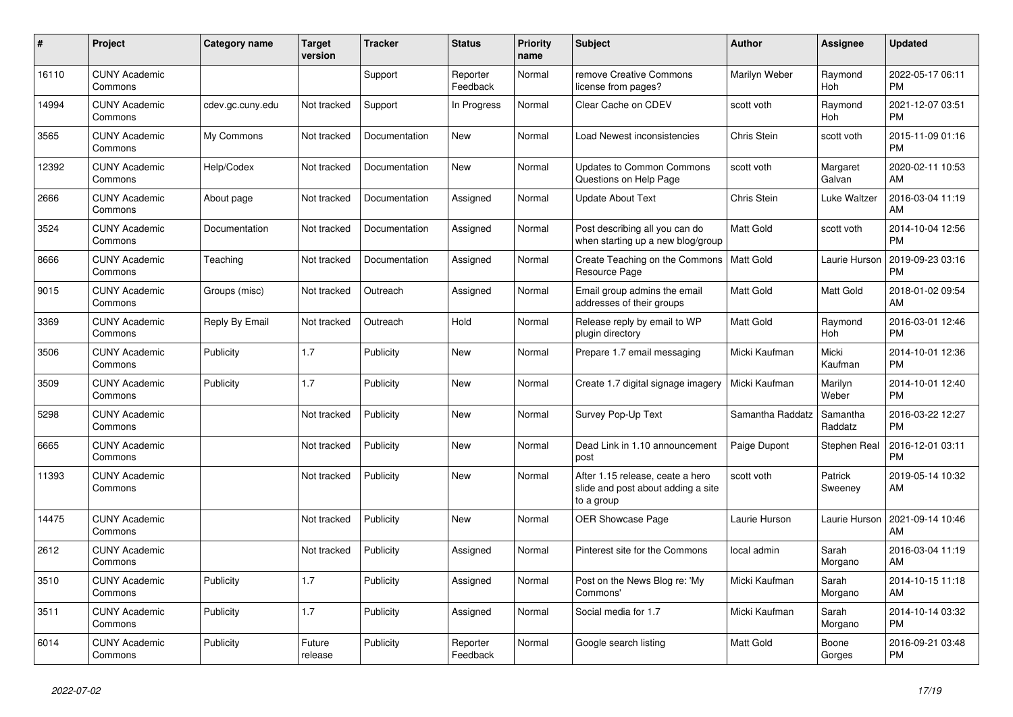| #     | Project                         | <b>Category name</b> | <b>Target</b><br>version | <b>Tracker</b> | <b>Status</b>        | Priority<br>name | <b>Subject</b>                                                                       | <b>Author</b>    | <b>Assignee</b>     | <b>Updated</b>                |
|-------|---------------------------------|----------------------|--------------------------|----------------|----------------------|------------------|--------------------------------------------------------------------------------------|------------------|---------------------|-------------------------------|
| 16110 | <b>CUNY Academic</b><br>Commons |                      |                          | Support        | Reporter<br>Feedback | Normal           | remove Creative Commons<br>license from pages?                                       | Marilyn Weber    | Raymond<br>Hoh      | 2022-05-17 06:11<br><b>PM</b> |
| 14994 | <b>CUNY Academic</b><br>Commons | cdev.gc.cuny.edu     | Not tracked              | Support        | In Progress          | Normal           | Clear Cache on CDEV                                                                  | scott voth       | Raymond<br>Hoh      | 2021-12-07 03:51<br><b>PM</b> |
| 3565  | <b>CUNY Academic</b><br>Commons | My Commons           | Not tracked              | Documentation  | <b>New</b>           | Normal           | Load Newest inconsistencies                                                          | Chris Stein      | scott voth          | 2015-11-09 01:16<br><b>PM</b> |
| 12392 | <b>CUNY Academic</b><br>Commons | Help/Codex           | Not tracked              | Documentation  | New                  | Normal           | <b>Updates to Common Commons</b><br>Questions on Help Page                           | scott voth       | Margaret<br>Galvan  | 2020-02-11 10:53<br>AM        |
| 2666  | <b>CUNY Academic</b><br>Commons | About page           | Not tracked              | Documentation  | Assigned             | Normal           | <b>Update About Text</b>                                                             | Chris Stein      | Luke Waltzer        | 2016-03-04 11:19<br>AM        |
| 3524  | <b>CUNY Academic</b><br>Commons | Documentation        | Not tracked              | Documentation  | Assigned             | Normal           | Post describing all you can do<br>when starting up a new blog/group                  | <b>Matt Gold</b> | scott voth          | 2014-10-04 12:56<br><b>PM</b> |
| 8666  | <b>CUNY Academic</b><br>Commons | Teaching             | Not tracked              | Documentation  | Assigned             | Normal           | Create Teaching on the Commons<br>Resource Page                                      | Matt Gold        | Laurie Hurson       | 2019-09-23 03:16<br><b>PM</b> |
| 9015  | <b>CUNY Academic</b><br>Commons | Groups (misc)        | Not tracked              | Outreach       | Assigned             | Normal           | Email group admins the email<br>addresses of their groups                            | Matt Gold        | Matt Gold           | 2018-01-02 09:54<br>AM        |
| 3369  | <b>CUNY Academic</b><br>Commons | Reply By Email       | Not tracked              | Outreach       | Hold                 | Normal           | Release reply by email to WP<br>plugin directory                                     | <b>Matt Gold</b> | Raymond<br>Hoh      | 2016-03-01 12:46<br><b>PM</b> |
| 3506  | <b>CUNY Academic</b><br>Commons | Publicity            | 1.7                      | Publicity      | <b>New</b>           | Normal           | Prepare 1.7 email messaging                                                          | Micki Kaufman    | Micki<br>Kaufman    | 2014-10-01 12:36<br><b>PM</b> |
| 3509  | <b>CUNY Academic</b><br>Commons | Publicity            | 1.7                      | Publicity      | New                  | Normal           | Create 1.7 digital signage imagery                                                   | Micki Kaufman    | Marilyn<br>Weber    | 2014-10-01 12:40<br><b>PM</b> |
| 5298  | <b>CUNY Academic</b><br>Commons |                      | Not tracked              | Publicity      | New                  | Normal           | Survey Pop-Up Text                                                                   | Samantha Raddatz | Samantha<br>Raddatz | 2016-03-22 12:27<br><b>PM</b> |
| 6665  | <b>CUNY Academic</b><br>Commons |                      | Not tracked              | Publicity      | <b>New</b>           | Normal           | Dead Link in 1.10 announcement<br>post                                               | Paige Dupont     | Stephen Real        | 2016-12-01 03:11<br><b>PM</b> |
| 11393 | <b>CUNY Academic</b><br>Commons |                      | Not tracked              | Publicity      | <b>New</b>           | Normal           | After 1.15 release, ceate a hero<br>slide and post about adding a site<br>to a group | scott voth       | Patrick<br>Sweeney  | 2019-05-14 10:32<br>AM        |
| 14475 | <b>CUNY Academic</b><br>Commons |                      | Not tracked              | Publicity      | New                  | Normal           | <b>OER Showcase Page</b>                                                             | Laurie Hurson    | Laurie Hurson       | 2021-09-14 10:46<br>AM        |
| 2612  | <b>CUNY Academic</b><br>Commons |                      | Not tracked              | Publicity      | Assigned             | Normal           | Pinterest site for the Commons                                                       | local admin      | Sarah<br>Morgano    | 2016-03-04 11:19<br>AM        |
| 3510  | <b>CUNY Academic</b><br>Commons | Publicity            | 1.7                      | Publicity      | Assigned             | Normal           | Post on the News Blog re: 'My<br>Commons'                                            | Micki Kaufman    | Sarah<br>Morgano    | 2014-10-15 11:18<br>AM        |
| 3511  | <b>CUNY Academic</b><br>Commons | Publicity            | 1.7                      | Publicity      | Assigned             | Normal           | Social media for 1.7                                                                 | Micki Kaufman    | Sarah<br>Morgano    | 2014-10-14 03:32<br><b>PM</b> |
| 6014  | <b>CUNY Academic</b><br>Commons | Publicity            | Future<br>release        | Publicity      | Reporter<br>Feedback | Normal           | Google search listing                                                                | <b>Matt Gold</b> | Boone<br>Gorges     | 2016-09-21 03:48<br><b>PM</b> |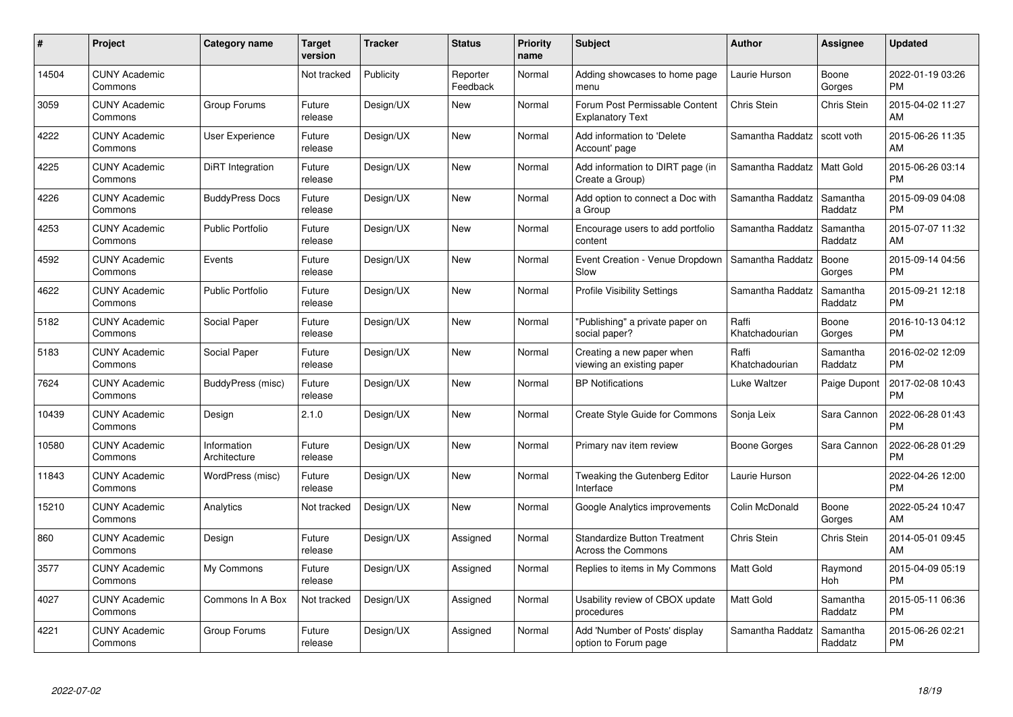| #     | Project                         | <b>Category name</b>        | Target<br>version | <b>Tracker</b> | <b>Status</b>        | Priority<br>name | <b>Subject</b>                                                   | <b>Author</b>           | <b>Assignee</b>     | <b>Updated</b>                |
|-------|---------------------------------|-----------------------------|-------------------|----------------|----------------------|------------------|------------------------------------------------------------------|-------------------------|---------------------|-------------------------------|
| 14504 | <b>CUNY Academic</b><br>Commons |                             | Not tracked       | Publicity      | Reporter<br>Feedback | Normal           | Adding showcases to home page<br>menu                            | Laurie Hurson           | Boone<br>Gorges     | 2022-01-19 03:26<br><b>PM</b> |
| 3059  | <b>CUNY Academic</b><br>Commons | Group Forums                | Future<br>release | Design/UX      | New                  | Normal           | Forum Post Permissable Content<br><b>Explanatory Text</b>        | Chris Stein             | <b>Chris Stein</b>  | 2015-04-02 11:27<br>AM        |
| 4222  | <b>CUNY Academic</b><br>Commons | <b>User Experience</b>      | Future<br>release | Design/UX      | <b>New</b>           | Normal           | Add information to 'Delete<br>Account' page                      | Samantha Raddatz        | scott voth          | 2015-06-26 11:35<br>AM        |
| 4225  | <b>CUNY Academic</b><br>Commons | DiRT Integration            | Future<br>release | Design/UX      | <b>New</b>           | Normal           | Add information to DIRT page (in<br>Create a Group)              | Samantha Raddatz        | Matt Gold           | 2015-06-26 03:14<br><b>PM</b> |
| 4226  | <b>CUNY Academic</b><br>Commons | <b>BuddyPress Docs</b>      | Future<br>release | Design/UX      | <b>New</b>           | Normal           | Add option to connect a Doc with<br>a Group                      | Samantha Raddatz        | Samantha<br>Raddatz | 2015-09-09 04:08<br><b>PM</b> |
| 4253  | <b>CUNY Academic</b><br>Commons | <b>Public Portfolio</b>     | Future<br>release | Design/UX      | New                  | Normal           | Encourage users to add portfolio<br>content                      | Samantha Raddatz        | Samantha<br>Raddatz | 2015-07-07 11:32<br>AM        |
| 4592  | <b>CUNY Academic</b><br>Commons | Events                      | Future<br>release | Design/UX      | <b>New</b>           | Normal           | Event Creation - Venue Dropdown<br>Slow                          | Samantha Raddatz        | Boone<br>Gorges     | 2015-09-14 04:56<br><b>PM</b> |
| 4622  | <b>CUNY Academic</b><br>Commons | <b>Public Portfolio</b>     | Future<br>release | Design/UX      | New                  | Normal           | <b>Profile Visibility Settings</b>                               | Samantha Raddatz        | Samantha<br>Raddatz | 2015-09-21 12:18<br><b>PM</b> |
| 5182  | <b>CUNY Academic</b><br>Commons | Social Paper                | Future<br>release | Design/UX      | New                  | Normal           | "Publishing" a private paper on<br>social paper?                 | Raffi<br>Khatchadourian | Boone<br>Gorges     | 2016-10-13 04:12<br><b>PM</b> |
| 5183  | <b>CUNY Academic</b><br>Commons | Social Paper                | Future<br>release | Design/UX      | <b>New</b>           | Normal           | Creating a new paper when<br>viewing an existing paper           | Raffi<br>Khatchadourian | Samantha<br>Raddatz | 2016-02-02 12:09<br>PM        |
| 7624  | <b>CUNY Academic</b><br>Commons | BuddyPress (misc)           | Future<br>release | Design/UX      | New                  | Normal           | <b>BP Notifications</b>                                          | Luke Waltzer            | Paige Dupont        | 2017-02-08 10:43<br><b>PM</b> |
| 10439 | <b>CUNY Academic</b><br>Commons | Design                      | 2.1.0             | Design/UX      | New                  | Normal           | Create Style Guide for Commons                                   | Sonja Leix              | Sara Cannon         | 2022-06-28 01:43<br><b>PM</b> |
| 10580 | <b>CUNY Academic</b><br>Commons | Information<br>Architecture | Future<br>release | Design/UX      | New                  | Normal           | Primary nav item review                                          | Boone Gorges            | Sara Cannon         | 2022-06-28 01:29<br><b>PM</b> |
| 11843 | <b>CUNY Academic</b><br>Commons | WordPress (misc)            | Future<br>release | Design/UX      | New                  | Normal           | Tweaking the Gutenberg Editor<br>Interface                       | Laurie Hurson           |                     | 2022-04-26 12:00<br><b>PM</b> |
| 15210 | <b>CUNY Academic</b><br>Commons | Analytics                   | Not tracked       | Design/UX      | New                  | Normal           | Google Analytics improvements                                    | Colin McDonald          | Boone<br>Gorges     | 2022-05-24 10:47<br>AM.       |
| 860   | <b>CUNY Academic</b><br>Commons | Design                      | Future<br>release | Design/UX      | Assigned             | Normal           | <b>Standardize Button Treatment</b><br><b>Across the Commons</b> | Chris Stein             | Chris Stein         | 2014-05-01 09:45<br>AM        |
| 3577  | <b>CUNY Academic</b><br>Commons | My Commons                  | Future<br>release | Design/UX      | Assigned             | Normal           | Replies to items in My Commons                                   | <b>Matt Gold</b>        | Raymond<br>Hoh      | 2015-04-09 05:19<br><b>PM</b> |
| 4027  | <b>CUNY Academic</b><br>Commons | Commons In A Box            | Not tracked       | Design/UX      | Assigned             | Normal           | Usability review of CBOX update<br>procedures                    | Matt Gold               | Samantha<br>Raddatz | 2015-05-11 06:36<br><b>PM</b> |
| 4221  | <b>CUNY Academic</b><br>Commons | Group Forums                | Future<br>release | Design/UX      | Assigned             | Normal           | Add 'Number of Posts' display<br>option to Forum page            | Samantha Raddatz        | Samantha<br>Raddatz | 2015-06-26 02:21<br>PM        |